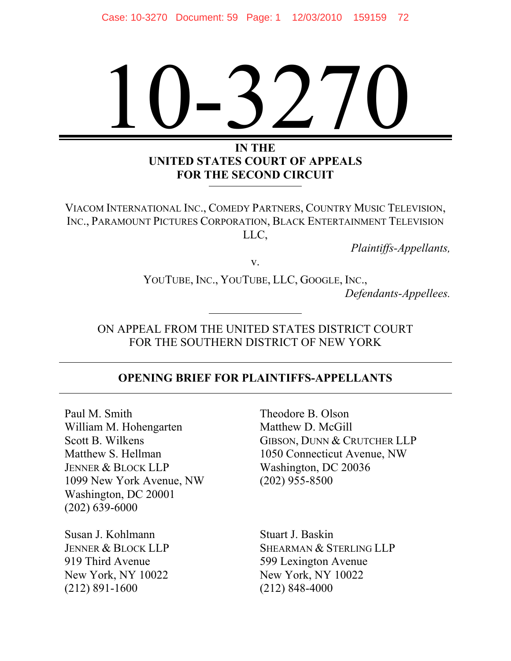# $\bigg)$ 10-3270

#### **IN THE UNITED STATES COURT OF APPEALS FOR THE SECOND CIRCUIT**

VIACOM INTERNATIONAL INC., COMEDY PARTNERS, COUNTRY MUSIC TELEVISION, INC., PARAMOUNT PICTURES CORPORATION, BLACK ENTERTAINMENT TELEVISION LLC,

*Plaintiffs-Appellants,* 

v.

YOUTUBE, INC., YOUTUBE, LLC, GOOGLE, INC., *Defendants-Appellees.* 

ON APPEAL FROM THE UNITED STATES DISTRICT COURT FOR THE SOUTHERN DISTRICT OF NEW YORK

#### **OPENING BRIEF FOR PLAINTIFFS-APPELLANTS**

Paul M. Smith William M. Hohengarten Scott B. Wilkens Matthew S. Hellman JENNER & BLOCK LLP 1099 New York Avenue, NW Washington, DC 20001 (202) 639-6000

Susan J. Kohlmann JENNER & BLOCK LLP 919 Third Avenue New York, NY 10022 (212) 891-1600

Theodore B. Olson Matthew D. McGill GIBSON, DUNN & CRUTCHER LLP 1050 Connecticut Avenue, NW Washington, DC 20036 (202) 955-8500

Stuart J. Baskin SHEARMAN & STERLING LLP 599 Lexington Avenue New York, NY 10022 (212) 848-4000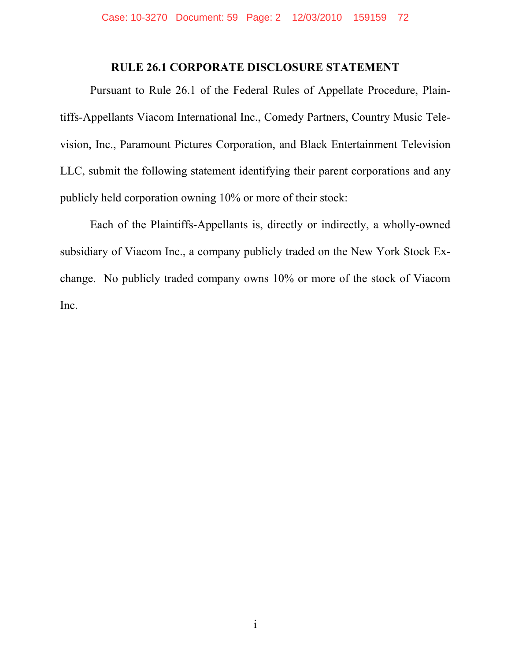#### **RULE 26.1 CORPORATE DISCLOSURE STATEMENT**

Pursuant to Rule 26.1 of the Federal Rules of Appellate Procedure, Plaintiffs-Appellants Viacom International Inc., Comedy Partners, Country Music Television, Inc., Paramount Pictures Corporation, and Black Entertainment Television LLC, submit the following statement identifying their parent corporations and any publicly held corporation owning 10% or more of their stock:

Each of the Plaintiffs-Appellants is, directly or indirectly, a wholly-owned subsidiary of Viacom Inc., a company publicly traded on the New York Stock Exchange. No publicly traded company owns 10% or more of the stock of Viacom Inc.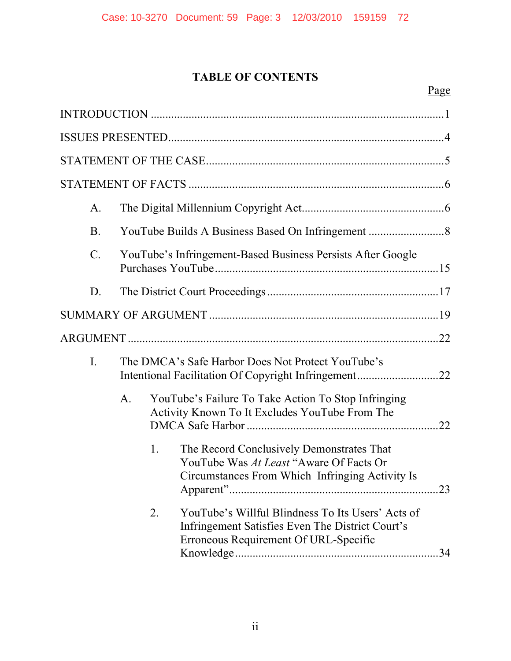## **TABLE OF CONTENTS**

| A.              |                                                             |    |                                                                                                                                                |     |  |
|-----------------|-------------------------------------------------------------|----|------------------------------------------------------------------------------------------------------------------------------------------------|-----|--|
| <b>B</b> .      |                                                             |    |                                                                                                                                                |     |  |
| $\mathcal{C}$ . | YouTube's Infringement-Based Business Persists After Google |    |                                                                                                                                                |     |  |
| D.              |                                                             |    |                                                                                                                                                |     |  |
|                 |                                                             |    |                                                                                                                                                |     |  |
|                 |                                                             |    |                                                                                                                                                |     |  |
| I.              |                                                             |    | The DMCA's Safe Harbor Does Not Protect YouTube's<br>Intentional Facilitation Of Copyright Infringement22                                      |     |  |
|                 | A <sub>1</sub>                                              |    | YouTube's Failure To Take Action To Stop Infringing<br>Activity Known To It Excludes YouTube From The                                          |     |  |
|                 |                                                             | 1. | The Record Conclusively Demonstrates That<br>YouTube Was At Least "Aware Of Facts Or<br>Circumstances From Which Infringing Activity Is        | .23 |  |
|                 |                                                             | 2. | YouTube's Willful Blindness To Its Users' Acts of<br>Infringement Satisfies Even The District Court's<br>Erroneous Requirement Of URL-Specific |     |  |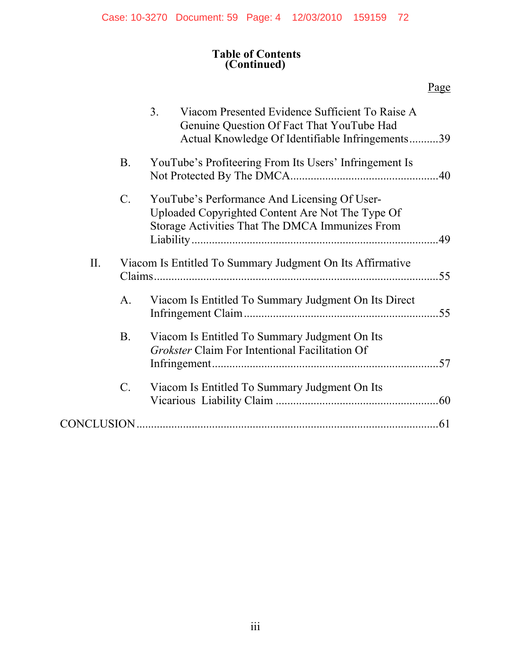#### **Table of Contents (Continued)**

|     |                 | 3 <sub>1</sub><br>Viacom Presented Evidence Sufficient To Raise A<br>Genuine Question Of Fact That YouTube Had<br>Actual Knowledge Of Identifiable Infringements39 |  |
|-----|-----------------|--------------------------------------------------------------------------------------------------------------------------------------------------------------------|--|
|     | <b>B.</b>       | YouTube's Profiteering From Its Users' Infringement Is                                                                                                             |  |
|     | $\mathcal{C}$ . | YouTube's Performance And Licensing Of User-<br>Uploaded Copyrighted Content Are Not The Type Of<br>Storage Activities That The DMCA Immunizes From                |  |
| II. |                 | Viacom Is Entitled To Summary Judgment On Its Affirmative<br>.55                                                                                                   |  |
|     | A.              | Viacom Is Entitled To Summary Judgment On Its Direct                                                                                                               |  |
|     | B.              | Viacom Is Entitled To Summary Judgment On Its<br>Grokster Claim For Intentional Facilitation Of                                                                    |  |
|     | C.              | Viacom Is Entitled To Summary Judgment On Its                                                                                                                      |  |
|     |                 |                                                                                                                                                                    |  |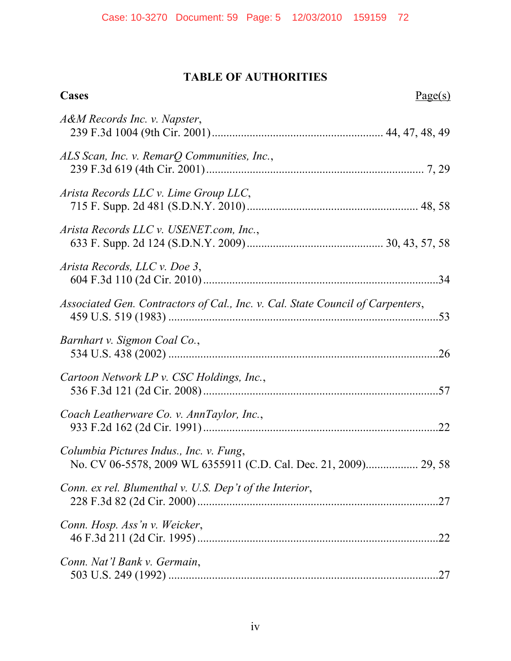### **TABLE OF AUTHORITIES**

| Cases<br>Page(s)                                                                                            |     |
|-------------------------------------------------------------------------------------------------------------|-----|
| A&M Records Inc. v. Napster,                                                                                |     |
| ALS Scan, Inc. v. RemarQ Communities, Inc.,                                                                 |     |
| Arista Records LLC v. Lime Group LLC,                                                                       |     |
| Arista Records LLC v. USENET.com, Inc.,                                                                     |     |
| Arista Records, LLC v. Doe 3,                                                                               |     |
| Associated Gen. Contractors of Cal., Inc. v. Cal. State Council of Carpenters,                              |     |
| Barnhart v. Sigmon Coal Co.,                                                                                |     |
| Cartoon Network LP v. CSC Holdings, Inc.,                                                                   |     |
| Coach Leatherware Co. v. AnnTaylor, Inc.,                                                                   | .22 |
| Columbia Pictures Indus., Inc. v. Fung,<br>No. CV 06-5578, 2009 WL 6355911 (C.D. Cal. Dec. 21, 2009) 29, 58 |     |
| Conn. ex rel. Blumenthal v. U.S. Dep't of the Interior,                                                     |     |
| Conn. Hosp. Ass'n v. Weicker,                                                                               | .22 |
| Conn. Nat'l Bank v. Germain,                                                                                |     |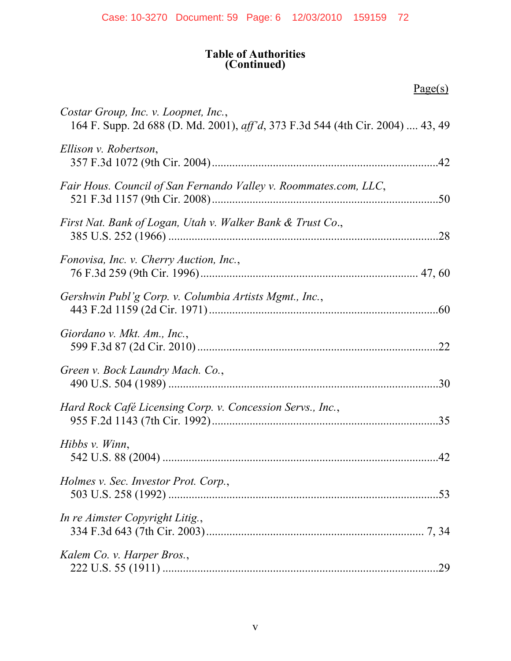#### **Table of Authorities (Continued)**

 $Page(s)$ 

| Costar Group, Inc. v. Loopnet, Inc.,<br>164 F. Supp. 2d 688 (D. Md. 2001), aff'd, 373 F.3d 544 (4th Cir. 2004)  43, 49 |
|------------------------------------------------------------------------------------------------------------------------|
| Ellison v. Robertson,                                                                                                  |
| Fair Hous. Council of San Fernando Valley v. Roommates.com, LLC,                                                       |
| First Nat. Bank of Logan, Utah v. Walker Bank & Trust Co.,<br>.28                                                      |
| Fonovisa, Inc. v. Cherry Auction, Inc.,                                                                                |
| Gershwin Publ'g Corp. v. Columbia Artists Mgmt., Inc.,                                                                 |
| Giordano v. Mkt. Am., Inc.,                                                                                            |
| Green v. Bock Laundry Mach. Co.,                                                                                       |
| Hard Rock Café Licensing Corp. v. Concession Servs., Inc.,<br>.35                                                      |
| Hibbs v. Winn,<br>42                                                                                                   |
| Holmes v. Sec. Investor Prot. Corp.,                                                                                   |
| In re Aimster Copyright Litig.,                                                                                        |
| Kalem Co. v. Harper Bros.,<br>.29                                                                                      |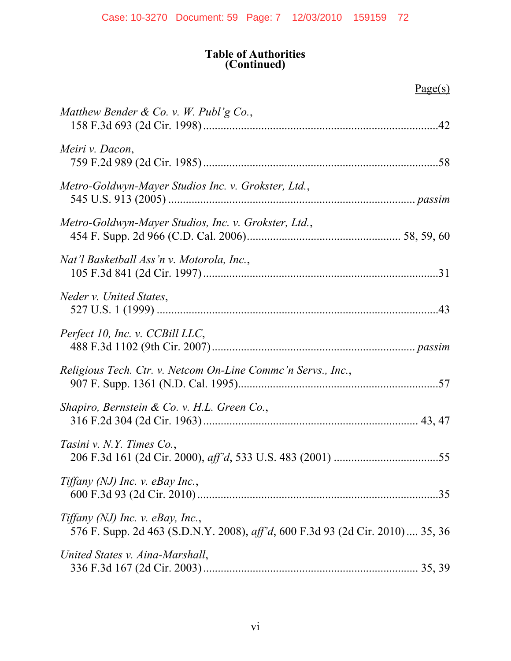#### **Table of Authorities (Continued)**

 $Page(s)$ 

| Matthew Bender & Co. v. W. Publ'g Co.,                                                                             |
|--------------------------------------------------------------------------------------------------------------------|
| Meiri v. Dacon,                                                                                                    |
| Metro-Goldwyn-Mayer Studios Inc. v. Grokster, Ltd.,                                                                |
| Metro-Goldwyn-Mayer Studios, Inc. v. Grokster, Ltd.,                                                               |
| Nat'l Basketball Ass'n v. Motorola, Inc.,                                                                          |
| Neder v. United States,                                                                                            |
| Perfect 10, Inc. v. CCBill LLC,                                                                                    |
| Religious Tech. Ctr. v. Netcom On-Line Commc'n Servs., Inc.,                                                       |
| Shapiro, Bernstein & Co. v. H.L. Green Co.,                                                                        |
| Tasini v. N.Y. Times Co.,                                                                                          |
| Tiffany (NJ) Inc. $\nu$ . eBay Inc.,                                                                               |
| Tiffany (NJ) Inc. v. eBay, Inc.,<br>576 F. Supp. 2d 463 (S.D.N.Y. 2008), aff'd, 600 F.3d 93 (2d Cir. 2010)  35, 36 |
| United States v. Aina-Marshall,                                                                                    |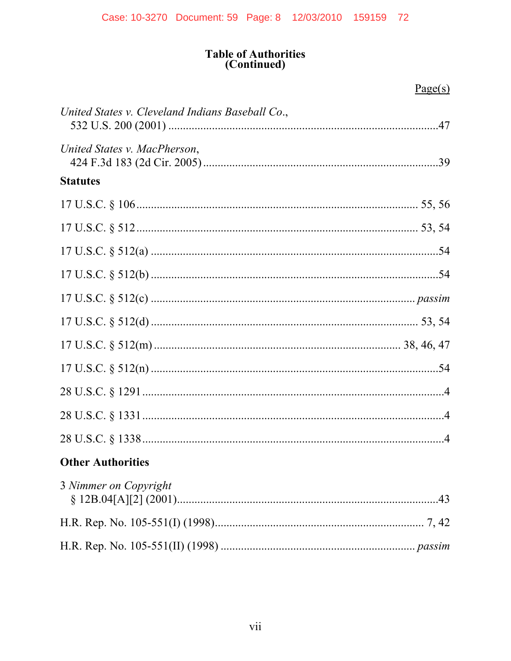# Table of Authorities<br>(Continued)

|                                                  | Page(s) |
|--------------------------------------------------|---------|
| United States v. Cleveland Indians Baseball Co., |         |
| United States v. MacPherson,                     |         |
| <b>Statutes</b>                                  |         |
|                                                  |         |
|                                                  |         |
|                                                  |         |
|                                                  |         |
|                                                  |         |
|                                                  |         |
|                                                  |         |
|                                                  |         |
|                                                  |         |
|                                                  |         |
|                                                  |         |
| <b>Other Authorities</b>                         |         |
| 3 Nimmer on Copyright                            |         |
|                                                  |         |
|                                                  |         |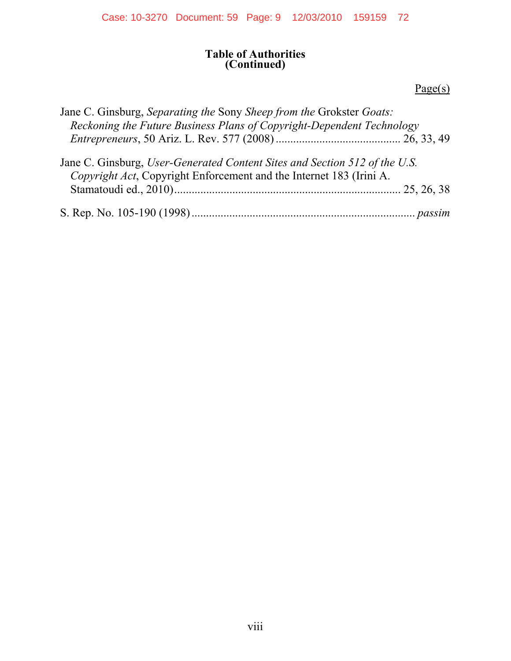#### **Table of Authorities (Continued)**

#### *Page(s)*

| Jane C. Ginsburg, Separating the Sony Sheep from the Grokster Goats:                                                                              |
|---------------------------------------------------------------------------------------------------------------------------------------------------|
| Reckoning the Future Business Plans of Copyright-Dependent Technology                                                                             |
|                                                                                                                                                   |
| Jane C. Ginsburg, User-Generated Content Sites and Section 512 of the U.S.<br>Copyright Act, Copyright Enforcement and the Internet 183 (Irini A. |
|                                                                                                                                                   |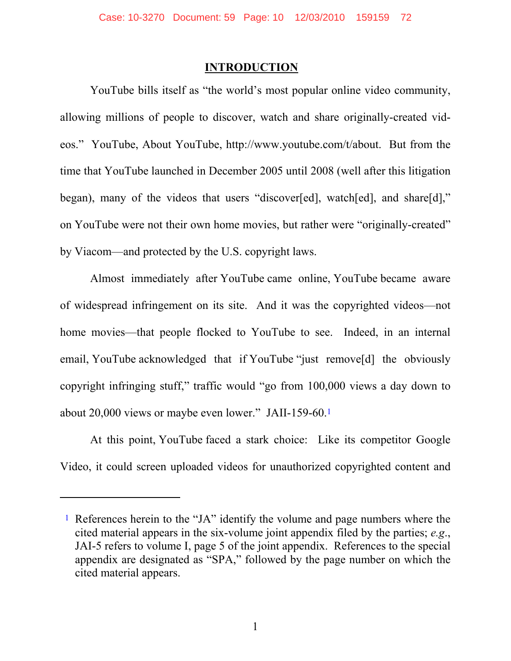#### **INTRODUCTION**

YouTube bills itself as "the world's most popular online video community, allowing millions of people to discover, watch and share originally-created videos." YouTube, About YouTube, http://www.youtube.com/t/about. But from the time that YouTube launched in December 2005 until 2008 (well after this litigation began), many of the videos that users "discover[ed], watch[ed], and share[d]," on YouTube were not their own home movies, but rather were "originally-created" by Viacom—and protected by the U.S. copyright laws.

Almost immediately after YouTube came online, YouTube became aware of widespread infringement on its site. And it was the copyrighted videos—not home movies—that people flocked to YouTube to see. Indeed, in an internal email, YouTube acknowledged that if YouTube "just remove<sup>[d]</sup> the obviously copyright infringing stuff," traffic would "go from 100,000 views a day down to about 20,000 views or maybe even lower." JAII-159-60.1

At this point, YouTube faced a stark choice: Like its competitor Google Video, it could screen uploaded videos for unauthorized copyrighted content and

 $\overline{a}$ 

<sup>1</sup> References herein to the "JA" identify the volume and page numbers where the cited material appears in the six-volume joint appendix filed by the parties; *e.g*., JAI-5 refers to volume I, page 5 of the joint appendix. References to the special appendix are designated as "SPA," followed by the page number on which the cited material appears.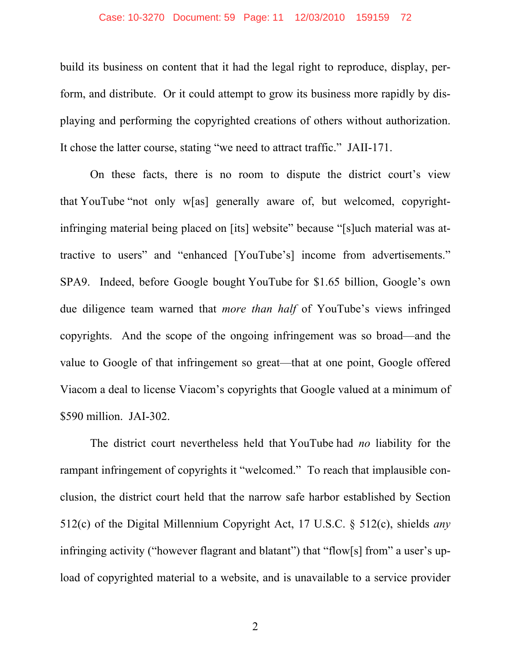#### Case: 10-3270 Document: 59 Page: 11 12/03/2010 159159 72

build its business on content that it had the legal right to reproduce, display, perform, and distribute. Or it could attempt to grow its business more rapidly by displaying and performing the copyrighted creations of others without authorization. It chose the latter course, stating "we need to attract traffic." JAII-171.

On these facts, there is no room to dispute the district court's view that YouTube "not only w[as] generally aware of, but welcomed, copyrightinfringing material being placed on [its] website" because "[s]uch material was attractive to users" and "enhanced [YouTube's] income from advertisements." SPA9. Indeed, before Google bought YouTube for \$1.65 billion, Google's own due diligence team warned that *more than half* of YouTube's views infringed copyrights. And the scope of the ongoing infringement was so broad—and the value to Google of that infringement so great—that at one point, Google offered Viacom a deal to license Viacom's copyrights that Google valued at a minimum of \$590 million. JAI-302.

The district court nevertheless held that YouTube had *no* liability for the rampant infringement of copyrights it "welcomed." To reach that implausible conclusion, the district court held that the narrow safe harbor established by Section 512(c) of the Digital Millennium Copyright Act, 17 U.S.C. § 512(c), shields *any* infringing activity ("however flagrant and blatant") that "flow[s] from" a user's upload of copyrighted material to a website, and is unavailable to a service provider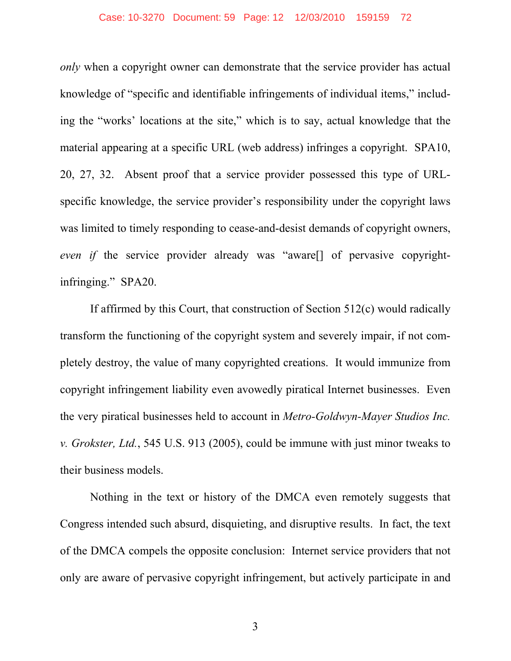#### Case: 10-3270 Document: 59 Page: 12 12/03/2010 159159 72

*only* when a copyright owner can demonstrate that the service provider has actual knowledge of "specific and identifiable infringements of individual items," including the "works' locations at the site," which is to say, actual knowledge that the material appearing at a specific URL (web address) infringes a copyright. SPA10, 20, 27, 32. Absent proof that a service provider possessed this type of URLspecific knowledge, the service provider's responsibility under the copyright laws was limited to timely responding to cease-and-desist demands of copyright owners, *even if* the service provider already was "aware[] of pervasive copyrightinfringing." SPA20.

If affirmed by this Court, that construction of Section 512(c) would radically transform the functioning of the copyright system and severely impair, if not completely destroy, the value of many copyrighted creations. It would immunize from copyright infringement liability even avowedly piratical Internet businesses. Even the very piratical businesses held to account in *Metro-Goldwyn-Mayer Studios Inc. v. Grokster, Ltd.*, 545 U.S. 913 (2005), could be immune with just minor tweaks to their business models.

Nothing in the text or history of the DMCA even remotely suggests that Congress intended such absurd, disquieting, and disruptive results. In fact, the text of the DMCA compels the opposite conclusion: Internet service providers that not only are aware of pervasive copyright infringement, but actively participate in and

3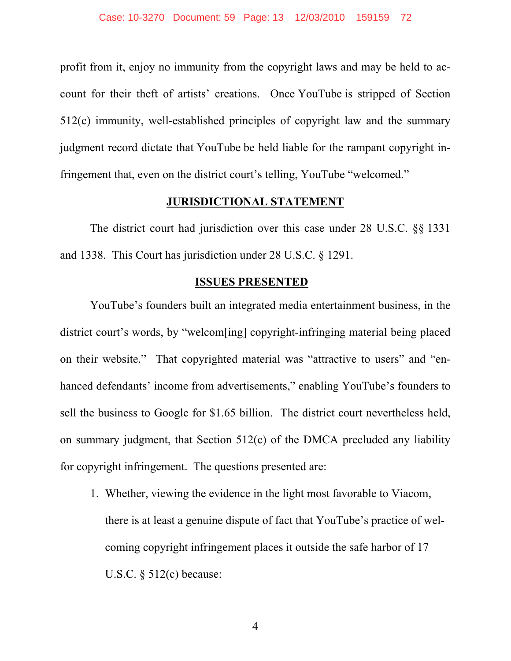profit from it, enjoy no immunity from the copyright laws and may be held to account for their theft of artists' creations. Once YouTube is stripped of Section 512(c) immunity, well-established principles of copyright law and the summary judgment record dictate that YouTube be held liable for the rampant copyright infringement that, even on the district court's telling, YouTube "welcomed."

#### **JURISDICTIONAL STATEMENT**

The district court had jurisdiction over this case under 28 U.S.C. §§ 1331 and 1338. This Court has jurisdiction under 28 U.S.C. § 1291.

#### **ISSUES PRESENTED**

YouTube's founders built an integrated media entertainment business, in the district court's words, by "welcom[ing] copyright-infringing material being placed on their website." That copyrighted material was "attractive to users" and "enhanced defendants' income from advertisements," enabling YouTube's founders to sell the business to Google for \$1.65 billion. The district court nevertheless held, on summary judgment, that Section 512(c) of the DMCA precluded any liability for copyright infringement. The questions presented are:

1. Whether, viewing the evidence in the light most favorable to Viacom, there is at least a genuine dispute of fact that YouTube's practice of welcoming copyright infringement places it outside the safe harbor of 17 U.S.C. § 512(c) because:

4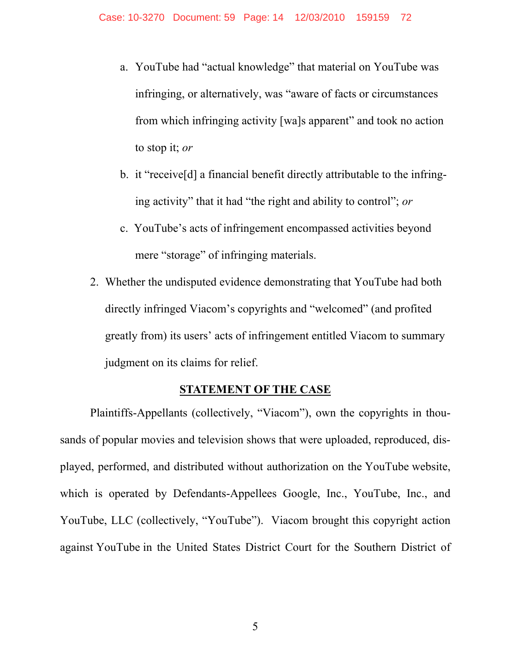- a. YouTube had "actual knowledge" that material on YouTube was infringing, or alternatively, was "aware of facts or circumstances from which infringing activity [wa]s apparent" and took no action to stop it; *or*
- b. it "receive[d] a financial benefit directly attributable to the infringing activity" that it had "the right and ability to control"; *or*
- c. YouTube's acts of infringement encompassed activities beyond mere "storage" of infringing materials.
- 2. Whether the undisputed evidence demonstrating that YouTube had both directly infringed Viacom's copyrights and "welcomed" (and profited greatly from) its users' acts of infringement entitled Viacom to summary judgment on its claims for relief.

#### **STATEMENT OF THE CASE**

Plaintiffs-Appellants (collectively, "Viacom"), own the copyrights in thousands of popular movies and television shows that were uploaded, reproduced, displayed, performed, and distributed without authorization on the YouTube website, which is operated by Defendants-Appellees Google, Inc., YouTube, Inc., and YouTube, LLC (collectively, "YouTube"). Viacom brought this copyright action against YouTube in the United States District Court for the Southern District of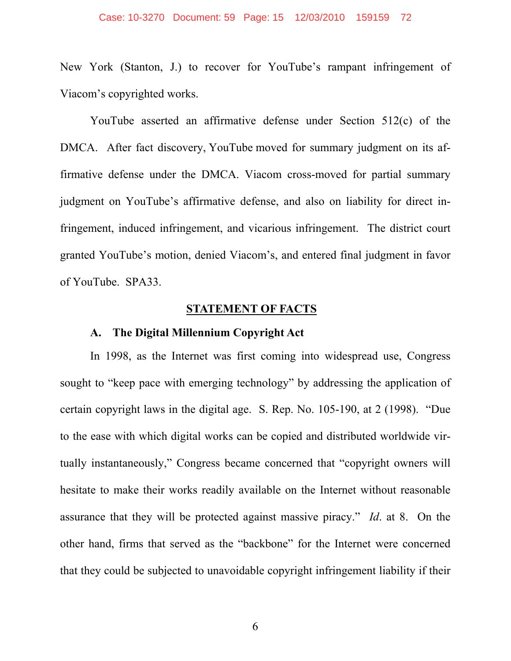#### Case: 10-3270 Document: 59 Page: 15 12/03/2010 159159 72

New York (Stanton, J.) to recover for YouTube's rampant infringement of Viacom's copyrighted works.

YouTube asserted an affirmative defense under Section 512(c) of the DMCA. After fact discovery, YouTube moved for summary judgment on its affirmative defense under the DMCA. Viacom cross-moved for partial summary judgment on YouTube's affirmative defense, and also on liability for direct infringement, induced infringement, and vicarious infringement. The district court granted YouTube's motion, denied Viacom's, and entered final judgment in favor of YouTube. SPA33.

#### **STATEMENT OF FACTS**

#### **A. The Digital Millennium Copyright Act**

In 1998, as the Internet was first coming into widespread use, Congress sought to "keep pace with emerging technology" by addressing the application of certain copyright laws in the digital age. S. Rep. No. 105-190, at 2 (1998). "Due to the ease with which digital works can be copied and distributed worldwide virtually instantaneously," Congress became concerned that "copyright owners will hesitate to make their works readily available on the Internet without reasonable assurance that they will be protected against massive piracy." *Id*. at 8. On the other hand, firms that served as the "backbone" for the Internet were concerned that they could be subjected to unavoidable copyright infringement liability if their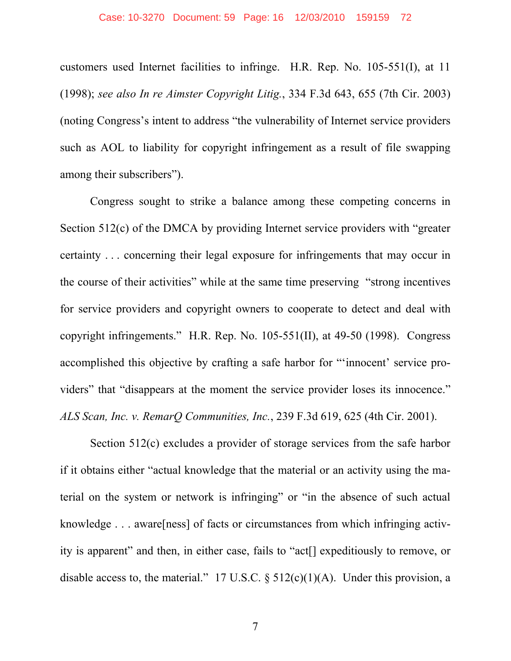customers used Internet facilities to infringe. H.R. Rep. No. 105-551(I), at 11 (1998); *see also In re Aimster Copyright Litig.*, 334 F.3d 643, 655 (7th Cir. 2003) (noting Congress's intent to address "the vulnerability of Internet service providers such as AOL to liability for copyright infringement as a result of file swapping among their subscribers").

Congress sought to strike a balance among these competing concerns in Section 512(c) of the DMCA by providing Internet service providers with "greater certainty . . . concerning their legal exposure for infringements that may occur in the course of their activities" while at the same time preserving "strong incentives for service providers and copyright owners to cooperate to detect and deal with copyright infringements." H.R. Rep. No. 105-551(II), at 49-50 (1998). Congress accomplished this objective by crafting a safe harbor for "'innocent' service providers" that "disappears at the moment the service provider loses its innocence." *ALS Scan, Inc. v. RemarQ Communities, Inc.*, 239 F.3d 619, 625 (4th Cir. 2001).

Section 512(c) excludes a provider of storage services from the safe harbor if it obtains either "actual knowledge that the material or an activity using the material on the system or network is infringing" or "in the absence of such actual knowledge . . . aware[ness] of facts or circumstances from which infringing activity is apparent" and then, in either case, fails to "act[] expeditiously to remove, or disable access to, the material." 17 U.S.C.  $\S$  512(c)(1)(A). Under this provision, a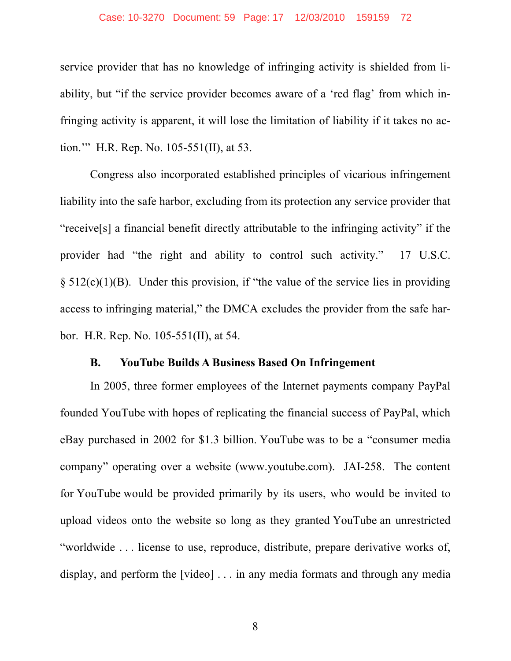#### Case: 10-3270 Document: 59 Page: 17 12/03/2010 159159 72

service provider that has no knowledge of infringing activity is shielded from liability, but "if the service provider becomes aware of a 'red flag' from which infringing activity is apparent, it will lose the limitation of liability if it takes no action.'" H.R. Rep. No. 105-551(II), at 53.

Congress also incorporated established principles of vicarious infringement liability into the safe harbor, excluding from its protection any service provider that "receive[s] a financial benefit directly attributable to the infringing activity" if the provider had "the right and ability to control such activity." 17 U.S.C.  $\S$  512(c)(1)(B). Under this provision, if "the value of the service lies in providing access to infringing material," the DMCA excludes the provider from the safe harbor. H.R. Rep. No. 105-551(II), at 54.

#### **B. YouTube Builds A Business Based On Infringement**

In 2005, three former employees of the Internet payments company PayPal founded YouTube with hopes of replicating the financial success of PayPal, which eBay purchased in 2002 for \$1.3 billion. YouTube was to be a "consumer media company" operating over a website (www.youtube.com). JAI-258. The content for YouTube would be provided primarily by its users, who would be invited to upload videos onto the website so long as they granted YouTube an unrestricted "worldwide . . . license to use, reproduce, distribute, prepare derivative works of, display, and perform the [video] . . . in any media formats and through any media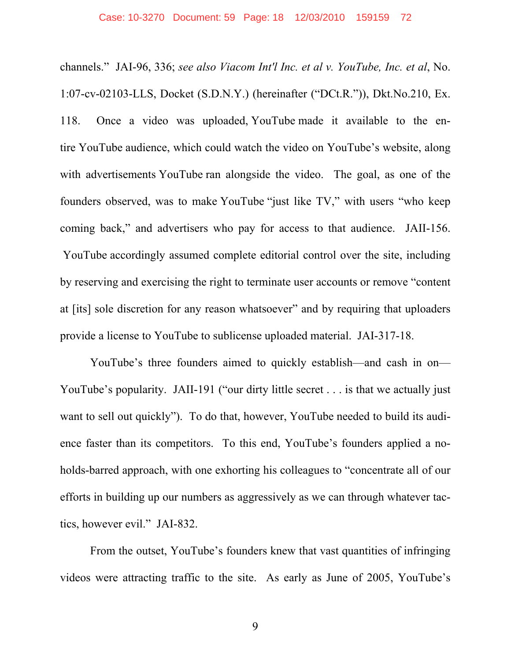channels." JAI-96, 336; *see also Viacom Int'l Inc. et al v. YouTube, Inc. et al*, No. 1:07-cv-02103-LLS, Docket (S.D.N.Y.) (hereinafter ("DCt.R.")), Dkt.No.210, Ex. 118. Once a video was uploaded, YouTube made it available to the entire YouTube audience, which could watch the video on YouTube's website, along with advertisements YouTube ran alongside the video. The goal, as one of the founders observed, was to make YouTube "just like TV," with users "who keep coming back," and advertisers who pay for access to that audience. JAII-156. YouTube accordingly assumed complete editorial control over the site, including by reserving and exercising the right to terminate user accounts or remove "content at [its] sole discretion for any reason whatsoever" and by requiring that uploaders provide a license to YouTube to sublicense uploaded material. JAI-317-18.

YouTube's three founders aimed to quickly establish—and cash in on— YouTube's popularity. JAII-191 ("our dirty little secret . . . is that we actually just want to sell out quickly"). To do that, however, YouTube needed to build its audience faster than its competitors. To this end, YouTube's founders applied a noholds-barred approach, with one exhorting his colleagues to "concentrate all of our efforts in building up our numbers as aggressively as we can through whatever tactics, however evil." JAI-832.

From the outset, YouTube's founders knew that vast quantities of infringing videos were attracting traffic to the site. As early as June of 2005, YouTube's

9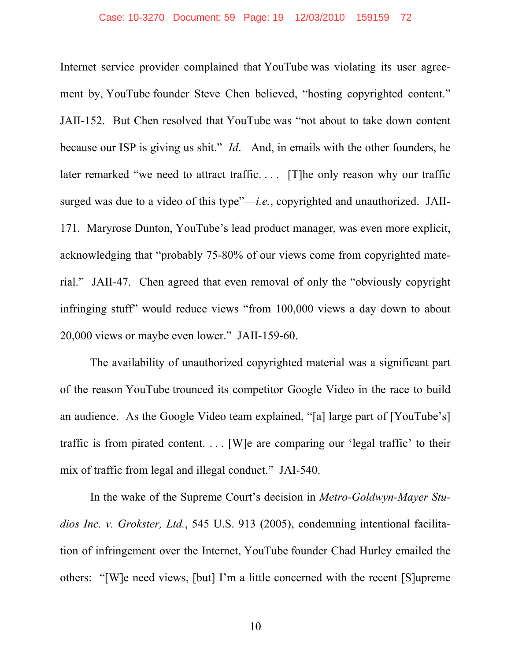Internet service provider complained that YouTube was violating its user agreement by, YouTube founder Steve Chen believed, "hosting copyrighted content." JAII-152. But Chen resolved that YouTube was "not about to take down content because our ISP is giving us shit." *Id*. And, in emails with the other founders, he later remarked "we need to attract traffic.... [T]he only reason why our traffic surged was due to a video of this type"—*i.e.*, copyrighted and unauthorized. JAII-171*.* Maryrose Dunton, YouTube's lead product manager, was even more explicit, acknowledging that "probably 75-80% of our views come from copyrighted material." JAII-47. Chen agreed that even removal of only the "obviously copyright infringing stuff" would reduce views "from 100,000 views a day down to about 20,000 views or maybe even lower." JAII-159-60.

The availability of unauthorized copyrighted material was a significant part of the reason YouTube trounced its competitor Google Video in the race to build an audience. As the Google Video team explained, "[a] large part of [YouTube's] traffic is from pirated content. . . . [W]e are comparing our 'legal traffic' to their mix of traffic from legal and illegal conduct." JAI-540.

In the wake of the Supreme Court's decision in *Metro-Goldwyn-Mayer Studios Inc. v. Grokster, Ltd.*, 545 U.S. 913 (2005), condemning intentional facilitation of infringement over the Internet, YouTube founder Chad Hurley emailed the others: "[W]e need views, [but] I'm a little concerned with the recent [S]upreme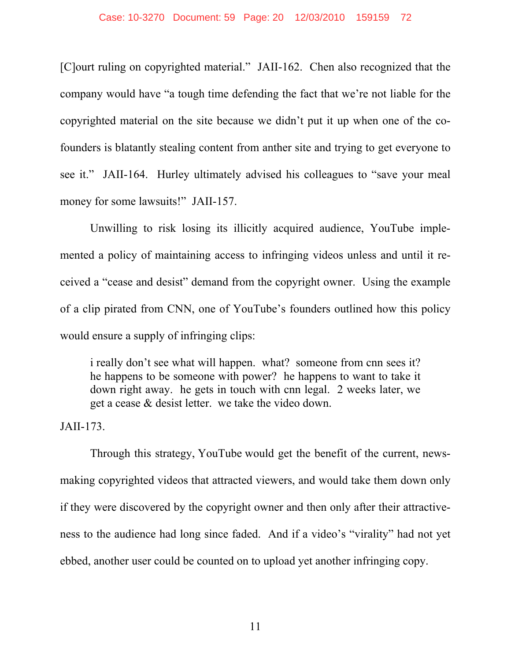[C]ourt ruling on copyrighted material." JAII-162. Chen also recognized that the company would have "a tough time defending the fact that we're not liable for the copyrighted material on the site because we didn't put it up when one of the cofounders is blatantly stealing content from anther site and trying to get everyone to see it." JAII-164. Hurley ultimately advised his colleagues to "save your meal money for some lawsuits!" JAII-157.

Unwilling to risk losing its illicitly acquired audience, YouTube implemented a policy of maintaining access to infringing videos unless and until it received a "cease and desist" demand from the copyright owner. Using the example of a clip pirated from CNN, one of YouTube's founders outlined how this policy would ensure a supply of infringing clips:

i really don't see what will happen. what? someone from cnn sees it? he happens to be someone with power? he happens to want to take it down right away. he gets in touch with cnn legal. 2 weeks later, we get a cease & desist letter. we take the video down.

JAII-173.

Through this strategy, YouTube would get the benefit of the current, newsmaking copyrighted videos that attracted viewers, and would take them down only if they were discovered by the copyright owner and then only after their attractiveness to the audience had long since faded. And if a video's "virality" had not yet ebbed, another user could be counted on to upload yet another infringing copy.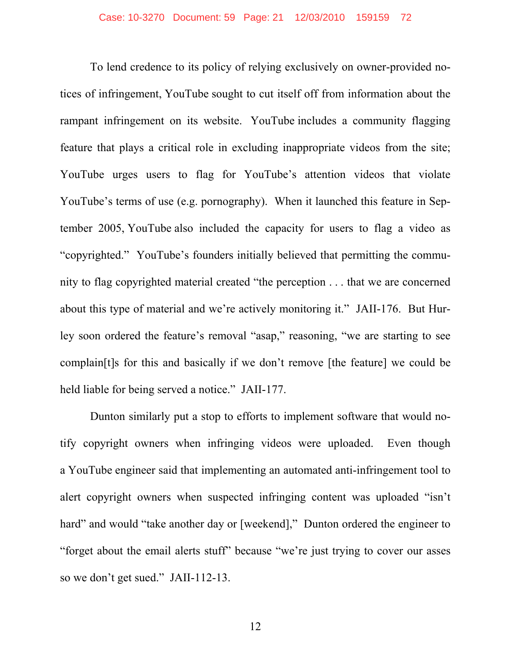To lend credence to its policy of relying exclusively on owner-provided notices of infringement, YouTube sought to cut itself off from information about the rampant infringement on its website. YouTube includes a community flagging feature that plays a critical role in excluding inappropriate videos from the site; YouTube urges users to flag for YouTube's attention videos that violate YouTube's terms of use (e.g. pornography). When it launched this feature in September 2005, YouTube also included the capacity for users to flag a video as "copyrighted." YouTube's founders initially believed that permitting the community to flag copyrighted material created "the perception . . . that we are concerned about this type of material and we're actively monitoring it." JAII-176. But Hurley soon ordered the feature's removal "asap," reasoning, "we are starting to see complain[t]s for this and basically if we don't remove [the feature] we could be held liable for being served a notice." JAII-177.

Dunton similarly put a stop to efforts to implement software that would notify copyright owners when infringing videos were uploaded. Even though a YouTube engineer said that implementing an automated anti-infringement tool to alert copyright owners when suspected infringing content was uploaded "isn't hard" and would "take another day or [weekend]," Dunton ordered the engineer to "forget about the email alerts stuff" because "we're just trying to cover our asses so we don't get sued." JAII-112-13.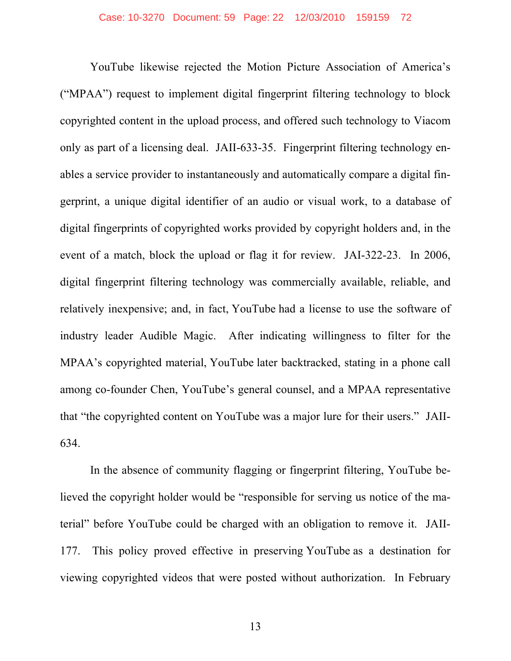YouTube likewise rejected the Motion Picture Association of America's ("MPAA") request to implement digital fingerprint filtering technology to block copyrighted content in the upload process, and offered such technology to Viacom only as part of a licensing deal. JAII-633-35. Fingerprint filtering technology enables a service provider to instantaneously and automatically compare a digital fingerprint, a unique digital identifier of an audio or visual work, to a database of digital fingerprints of copyrighted works provided by copyright holders and, in the event of a match, block the upload or flag it for review. JAI-322-23. In 2006, digital fingerprint filtering technology was commercially available, reliable, and relatively inexpensive; and, in fact, YouTube had a license to use the software of industry leader Audible Magic. After indicating willingness to filter for the MPAA's copyrighted material, YouTube later backtracked, stating in a phone call among co-founder Chen, YouTube's general counsel, and a MPAA representative that "the copyrighted content on YouTube was a major lure for their users." JAII-634.

In the absence of community flagging or fingerprint filtering, YouTube believed the copyright holder would be "responsible for serving us notice of the material" before YouTube could be charged with an obligation to remove it. JAII-177. This policy proved effective in preserving YouTube as a destination for viewing copyrighted videos that were posted without authorization. In February

13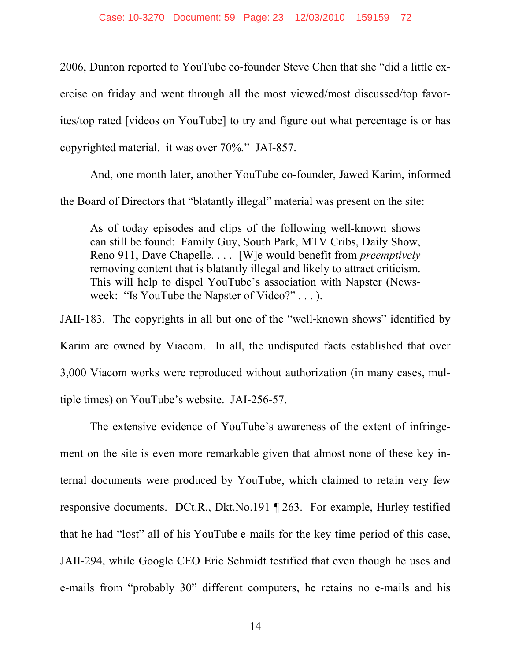2006, Dunton reported to YouTube co-founder Steve Chen that she "did a little exercise on friday and went through all the most viewed/most discussed/top favorites/top rated [videos on YouTube] to try and figure out what percentage is or has copyrighted material. it was over 70%*.*" JAI-857.

And, one month later, another YouTube co-founder, Jawed Karim, informed the Board of Directors that "blatantly illegal" material was present on the site:

As of today episodes and clips of the following well-known shows can still be found: Family Guy, South Park, MTV Cribs, Daily Show, Reno 911, Dave Chapelle. . . . [W]e would benefit from *preemptively* removing content that is blatantly illegal and likely to attract criticism. This will help to dispel YouTube's association with Napster (Newsweek: "Is YouTube the Napster of Video?" . . . ).

JAII-183. The copyrights in all but one of the "well-known shows" identified by Karim are owned by Viacom. In all, the undisputed facts established that over 3,000 Viacom works were reproduced without authorization (in many cases, multiple times) on YouTube's website. JAI-256-57.

The extensive evidence of YouTube's awareness of the extent of infringement on the site is even more remarkable given that almost none of these key internal documents were produced by YouTube, which claimed to retain very few responsive documents. DCt.R., Dkt.No.191 ¶ 263. For example, Hurley testified that he had "lost" all of his YouTube e-mails for the key time period of this case, JAII-294, while Google CEO Eric Schmidt testified that even though he uses and e-mails from "probably 30" different computers, he retains no e-mails and his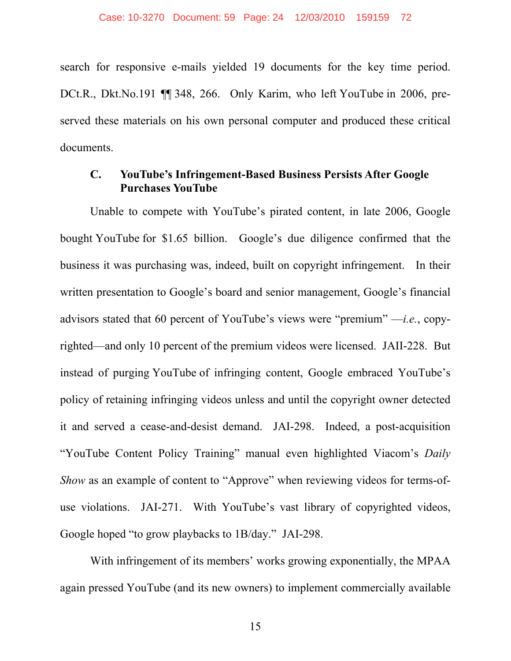search for responsive e-mails yielded 19 documents for the key time period. DCt.R., Dkt.No.191 ¶¶ 348, 266. Only Karim, who left YouTube in 2006, preserved these materials on his own personal computer and produced these critical documents.

#### **C. YouTube's Infringement-Based Business Persists After Google Purchases YouTube**

Unable to compete with YouTube's pirated content, in late 2006, Google bought YouTube for \$1.65 billion. Google's due diligence confirmed that the business it was purchasing was, indeed, built on copyright infringement. In their written presentation to Google's board and senior management, Google's financial advisors stated that 60 percent of YouTube's views were "premium" —*i.e.*, copyrighted—and only 10 percent of the premium videos were licensed. JAII-228. But instead of purging YouTube of infringing content, Google embraced YouTube's policy of retaining infringing videos unless and until the copyright owner detected it and served a cease-and-desist demand. JAI-298. Indeed, a post-acquisition "YouTube Content Policy Training" manual even highlighted Viacom's *Daily Show* as an example of content to "Approve" when reviewing videos for terms-ofuse violations. JAI-271. With YouTube's vast library of copyrighted videos, Google hoped "to grow playbacks to 1B/day." JAI-298.

With infringement of its members' works growing exponentially, the MPAA again pressed YouTube (and its new owners) to implement commercially available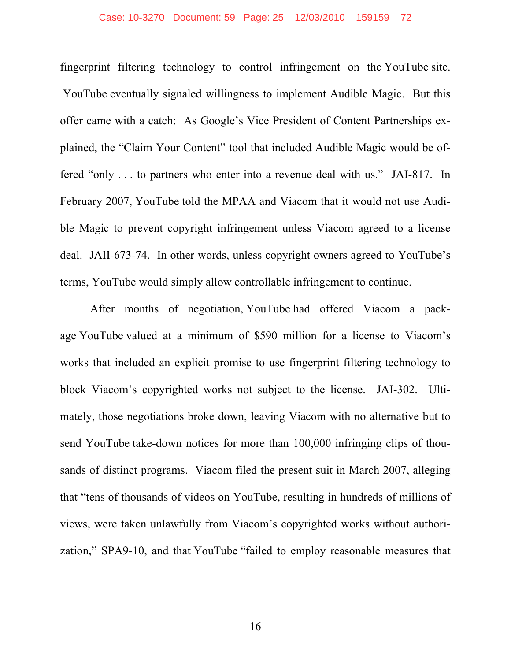#### Case: 10-3270 Document: 59 Page: 25 12/03/2010 159159 72

fingerprint filtering technology to control infringement on the YouTube site. YouTube eventually signaled willingness to implement Audible Magic. But this offer came with a catch: As Google's Vice President of Content Partnerships explained, the "Claim Your Content" tool that included Audible Magic would be offered "only . . . to partners who enter into a revenue deal with us." JAI-817. In February 2007, YouTube told the MPAA and Viacom that it would not use Audible Magic to prevent copyright infringement unless Viacom agreed to a license deal. JAII-673-74. In other words, unless copyright owners agreed to YouTube's terms, YouTube would simply allow controllable infringement to continue.

After months of negotiation, YouTube had offered Viacom a package YouTube valued at a minimum of \$590 million for a license to Viacom's works that included an explicit promise to use fingerprint filtering technology to block Viacom's copyrighted works not subject to the license. JAI-302. Ultimately, those negotiations broke down, leaving Viacom with no alternative but to send YouTube take-down notices for more than 100,000 infringing clips of thousands of distinct programs. Viacom filed the present suit in March 2007, alleging that "tens of thousands of videos on YouTube, resulting in hundreds of millions of views, were taken unlawfully from Viacom's copyrighted works without authorization," SPA9-10, and that YouTube "failed to employ reasonable measures that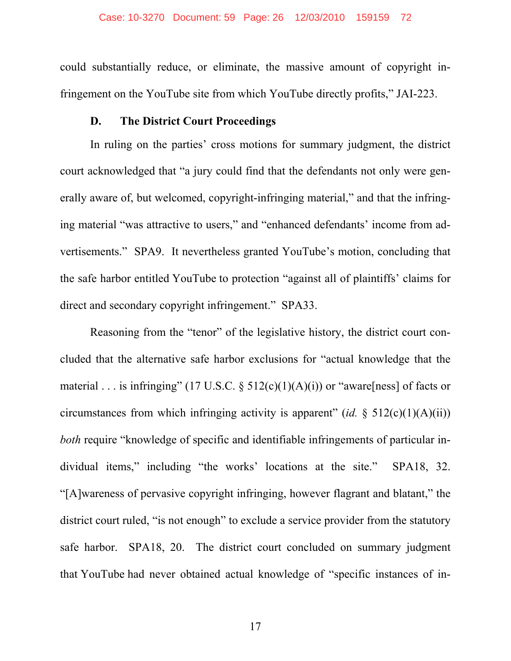could substantially reduce, or eliminate, the massive amount of copyright infringement on the YouTube site from which YouTube directly profits," JAI-223.

#### **D. The District Court Proceedings**

In ruling on the parties' cross motions for summary judgment, the district court acknowledged that "a jury could find that the defendants not only were generally aware of, but welcomed, copyright-infringing material," and that the infringing material "was attractive to users," and "enhanced defendants' income from advertisements." SPA9. It nevertheless granted YouTube's motion, concluding that the safe harbor entitled YouTube to protection "against all of plaintiffs' claims for direct and secondary copyright infringement." SPA33.

Reasoning from the "tenor" of the legislative history, the district court concluded that the alternative safe harbor exclusions for "actual knowledge that the material . . . is infringing" (17 U.S.C.  $\S$  512(c)(1)(A)(i)) or "aware[ness] of facts or circumstances from which infringing activity is apparent" (*id.*  $\S$  512(c)(1)(A)(ii)) *both* require "knowledge of specific and identifiable infringements of particular individual items," including "the works' locations at the site." SPA18, 32. "[A]wareness of pervasive copyright infringing, however flagrant and blatant," the district court ruled, "is not enough" to exclude a service provider from the statutory safe harbor. SPA18, 20. The district court concluded on summary judgment that YouTube had never obtained actual knowledge of "specific instances of in-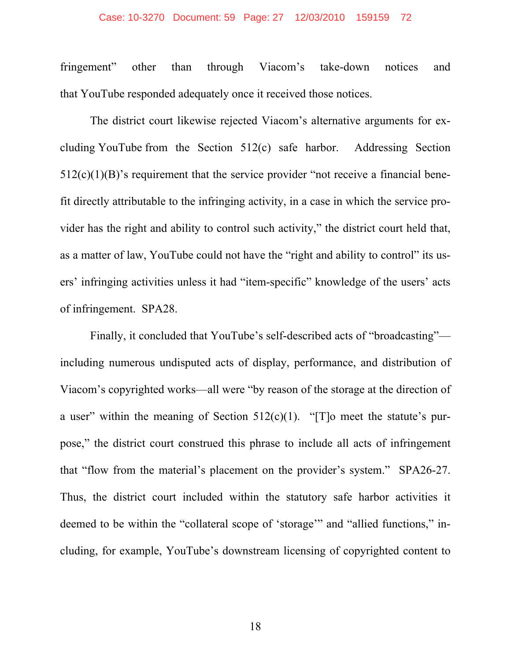#### Case: 10-3270 Document: 59 Page: 27 12/03/2010 159159 72

fringement" other than through Viacom's take-down notices and that YouTube responded adequately once it received those notices.

The district court likewise rejected Viacom's alternative arguments for excluding YouTube from the Section 512(c) safe harbor. Addressing Section  $512(c)(1)(B)$ 's requirement that the service provider "not receive a financial benefit directly attributable to the infringing activity, in a case in which the service provider has the right and ability to control such activity," the district court held that, as a matter of law, YouTube could not have the "right and ability to control" its users' infringing activities unless it had "item-specific" knowledge of the users' acts of infringement. SPA28.

Finally, it concluded that YouTube's self-described acts of "broadcasting" including numerous undisputed acts of display, performance, and distribution of Viacom's copyrighted works—all were "by reason of the storage at the direction of a user" within the meaning of Section  $512(c)(1)$ . "[T]o meet the statute's purpose," the district court construed this phrase to include all acts of infringement that "flow from the material's placement on the provider's system." SPA26-27. Thus, the district court included within the statutory safe harbor activities it deemed to be within the "collateral scope of 'storage'" and "allied functions," including, for example, YouTube's downstream licensing of copyrighted content to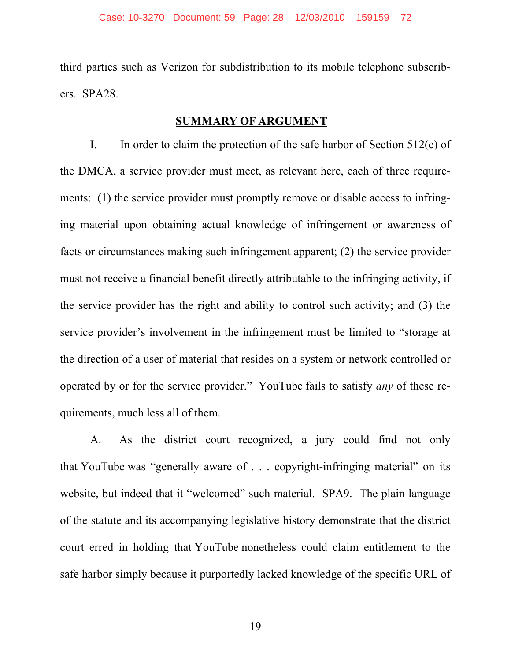third parties such as Verizon for subdistribution to its mobile telephone subscribers. SPA28.

#### **SUMMARY OF ARGUMENT**

I. In order to claim the protection of the safe harbor of Section 512(c) of the DMCA, a service provider must meet, as relevant here, each of three requirements: (1) the service provider must promptly remove or disable access to infringing material upon obtaining actual knowledge of infringement or awareness of facts or circumstances making such infringement apparent; (2) the service provider must not receive a financial benefit directly attributable to the infringing activity, if the service provider has the right and ability to control such activity; and (3) the service provider's involvement in the infringement must be limited to "storage at the direction of a user of material that resides on a system or network controlled or operated by or for the service provider." YouTube fails to satisfy *any* of these requirements, much less all of them.

A. As the district court recognized, a jury could find not only that YouTube was "generally aware of . . . copyright-infringing material" on its website, but indeed that it "welcomed" such material. SPA9. The plain language of the statute and its accompanying legislative history demonstrate that the district court erred in holding that YouTube nonetheless could claim entitlement to the safe harbor simply because it purportedly lacked knowledge of the specific URL of

19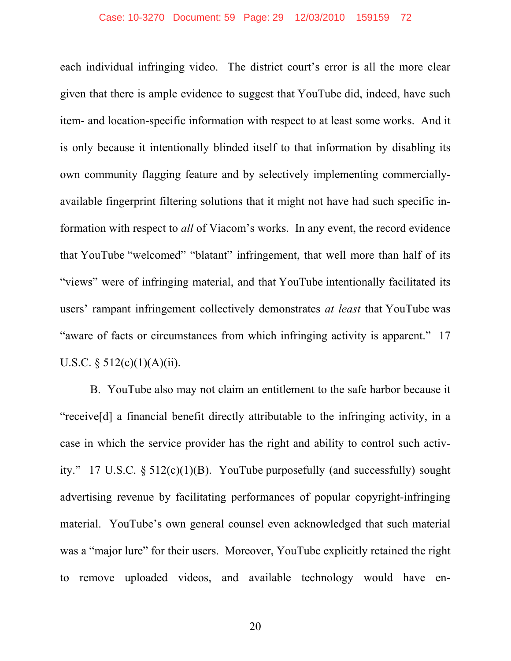#### Case: 10-3270 Document: 59 Page: 29 12/03/2010 159159 72

each individual infringing video. The district court's error is all the more clear given that there is ample evidence to suggest that YouTube did, indeed, have such item- and location-specific information with respect to at least some works. And it is only because it intentionally blinded itself to that information by disabling its own community flagging feature and by selectively implementing commerciallyavailable fingerprint filtering solutions that it might not have had such specific information with respect to *all* of Viacom's works. In any event, the record evidence that YouTube "welcomed" "blatant" infringement, that well more than half of its "views" were of infringing material, and that YouTube intentionally facilitated its users' rampant infringement collectively demonstrates *at least* that YouTube was "aware of facts or circumstances from which infringing activity is apparent." 17 U.S.C.  $\S$  512(c)(1)(A)(ii).

B. YouTube also may not claim an entitlement to the safe harbor because it "receive[d] a financial benefit directly attributable to the infringing activity, in a case in which the service provider has the right and ability to control such activity." 17 U.S.C.  $\S 512(c)(1)(B)$ . YouTube purposefully (and successfully) sought advertising revenue by facilitating performances of popular copyright-infringing material. YouTube's own general counsel even acknowledged that such material was a "major lure" for their users. Moreover, YouTube explicitly retained the right to remove uploaded videos, and available technology would have en-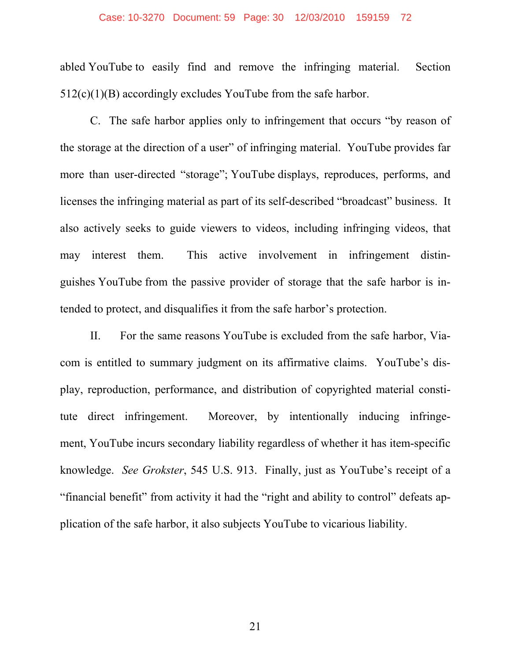#### Case: 10-3270 Document: 59 Page: 30 12/03/2010 159159 72

abled YouTube to easily find and remove the infringing material. Section 512(c)(1)(B) accordingly excludes YouTube from the safe harbor.

C. The safe harbor applies only to infringement that occurs "by reason of the storage at the direction of a user" of infringing material. YouTube provides far more than user-directed "storage"; YouTube displays, reproduces, performs, and licenses the infringing material as part of its self-described "broadcast" business. It also actively seeks to guide viewers to videos, including infringing videos, that may interest them. This active involvement in infringement distinguishes YouTube from the passive provider of storage that the safe harbor is intended to protect, and disqualifies it from the safe harbor's protection.

II. For the same reasons YouTube is excluded from the safe harbor, Viacom is entitled to summary judgment on its affirmative claims. YouTube's display, reproduction, performance, and distribution of copyrighted material constitute direct infringement. Moreover, by intentionally inducing infringement, YouTube incurs secondary liability regardless of whether it has item-specific knowledge. *See Grokster*, 545 U.S. 913. Finally, just as YouTube's receipt of a "financial benefit" from activity it had the "right and ability to control" defeats application of the safe harbor, it also subjects YouTube to vicarious liability.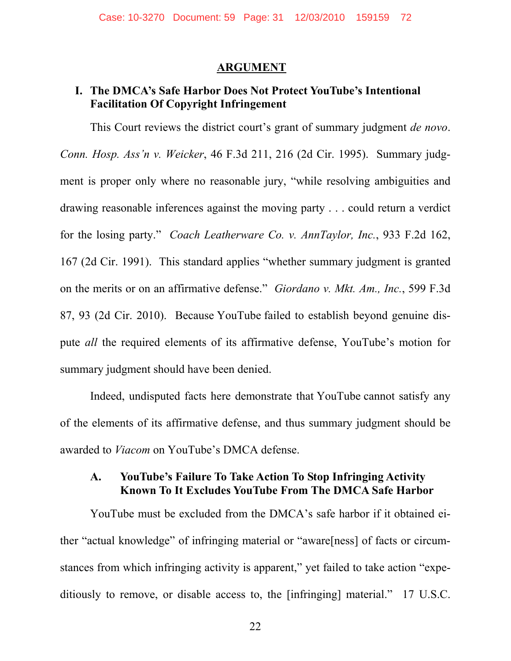#### **ARGUMENT**

#### **I. The DMCA's Safe Harbor Does Not Protect YouTube's Intentional Facilitation Of Copyright Infringement**

This Court reviews the district court's grant of summary judgment *de novo*. *Conn. Hosp. Ass'n v. Weicker*, 46 F.3d 211, 216 (2d Cir. 1995). Summary judgment is proper only where no reasonable jury, "while resolving ambiguities and drawing reasonable inferences against the moving party . . . could return a verdict for the losing party." *Coach Leatherware Co. v. AnnTaylor, Inc.*, 933 F.2d 162, 167 (2d Cir. 1991). This standard applies "whether summary judgment is granted on the merits or on an affirmative defense." *Giordano v. Mkt. Am., Inc.*, 599 F.3d 87, 93 (2d Cir. 2010). Because YouTube failed to establish beyond genuine dispute *all* the required elements of its affirmative defense, YouTube's motion for summary judgment should have been denied.

Indeed, undisputed facts here demonstrate that YouTube cannot satisfy any of the elements of its affirmative defense, and thus summary judgment should be awarded to *Viacom* on YouTube's DMCA defense.

#### **A. YouTube's Failure To Take Action To Stop Infringing Activity Known To It Excludes YouTube From The DMCA Safe Harbor**

YouTube must be excluded from the DMCA's safe harbor if it obtained either "actual knowledge" of infringing material or "aware[ness] of facts or circumstances from which infringing activity is apparent," yet failed to take action "expeditiously to remove, or disable access to, the [infringing] material." 17 U.S.C.

22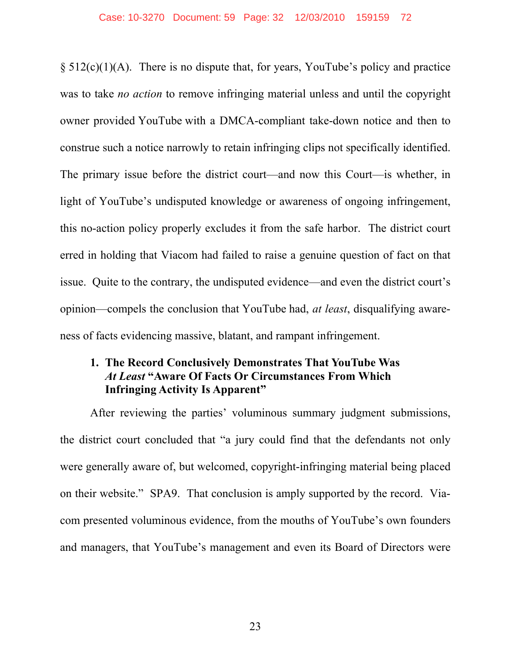$\S$  512(c)(1)(A). There is no dispute that, for years, YouTube's policy and practice was to take *no action* to remove infringing material unless and until the copyright owner provided YouTube with a DMCA-compliant take-down notice and then to construe such a notice narrowly to retain infringing clips not specifically identified. The primary issue before the district court—and now this Court—is whether, in light of YouTube's undisputed knowledge or awareness of ongoing infringement, this no-action policy properly excludes it from the safe harbor. The district court erred in holding that Viacom had failed to raise a genuine question of fact on that issue. Quite to the contrary, the undisputed evidence—and even the district court's opinion—compels the conclusion that YouTube had, *at least*, disqualifying awareness of facts evidencing massive, blatant, and rampant infringement.

#### **1. The Record Conclusively Demonstrates That YouTube Was**  *At Least* **"Aware Of Facts Or Circumstances From Which Infringing Activity Is Apparent"**

After reviewing the parties' voluminous summary judgment submissions, the district court concluded that "a jury could find that the defendants not only were generally aware of, but welcomed, copyright-infringing material being placed on their website." SPA9. That conclusion is amply supported by the record. Viacom presented voluminous evidence, from the mouths of YouTube's own founders and managers, that YouTube's management and even its Board of Directors were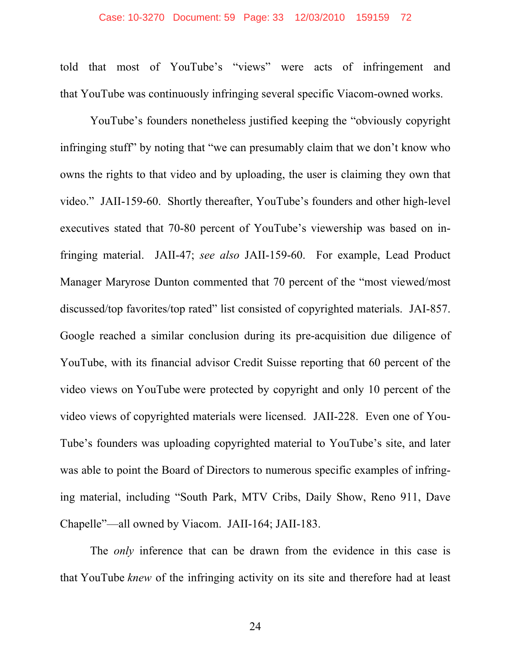#### Case: 10-3270 Document: 59 Page: 33 12/03/2010 159159 72

told that most of YouTube's "views" were acts of infringement and that YouTube was continuously infringing several specific Viacom-owned works.

YouTube's founders nonetheless justified keeping the "obviously copyright infringing stuff" by noting that "we can presumably claim that we don't know who owns the rights to that video and by uploading, the user is claiming they own that video." JAII-159-60. Shortly thereafter, YouTube's founders and other high-level executives stated that 70-80 percent of YouTube's viewership was based on infringing material. JAII-47; *see also* JAII-159-60. For example, Lead Product Manager Maryrose Dunton commented that 70 percent of the "most viewed/most discussed/top favorites/top rated" list consisted of copyrighted materials. JAI-857. Google reached a similar conclusion during its pre-acquisition due diligence of YouTube, with its financial advisor Credit Suisse reporting that 60 percent of the video views on YouTube were protected by copyright and only 10 percent of the video views of copyrighted materials were licensed. JAII-228. Even one of You-Tube's founders was uploading copyrighted material to YouTube's site, and later was able to point the Board of Directors to numerous specific examples of infringing material, including "South Park, MTV Cribs, Daily Show, Reno 911, Dave Chapelle"—all owned by Viacom. JAII-164; JAII-183.

The *only* inference that can be drawn from the evidence in this case is that YouTube *knew* of the infringing activity on its site and therefore had at least

24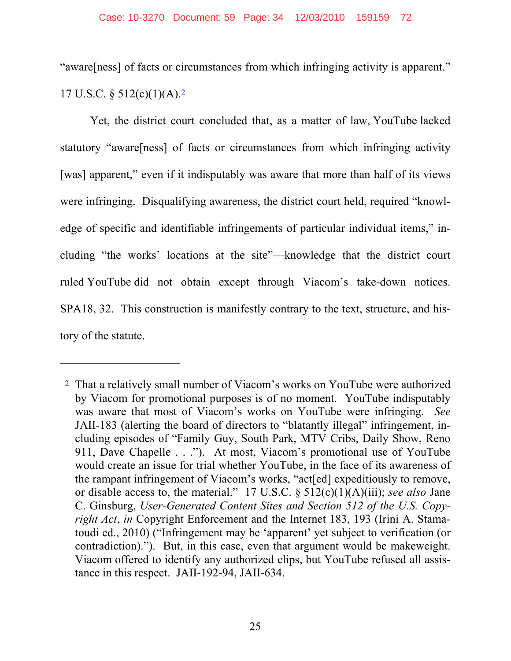"aware[ness] of facts or circumstances from which infringing activity is apparent." 17 U.S.C. § 512(c)(1)(A).2

Yet, the district court concluded that, as a matter of law, YouTube lacked statutory "aware[ness] of facts or circumstances from which infringing activity [was] apparent," even if it indisputably was aware that more than half of its views were infringing. Disqualifying awareness, the district court held, required "knowledge of specific and identifiable infringements of particular individual items," including "the works' locations at the site"—knowledge that the district court ruled YouTube did not obtain except through Viacom's take-down notices. SPA18, 32. This construction is manifestly contrary to the text, structure, and history of the statute.

 $\overline{a}$ 

<sup>2</sup> That a relatively small number of Viacom's works on YouTube were authorized by Viacom for promotional purposes is of no moment. YouTube indisputably was aware that most of Viacom's works on YouTube were infringing. *See* JAII-183 (alerting the board of directors to "blatantly illegal" infringement, including episodes of "Family Guy, South Park, MTV Cribs, Daily Show, Reno 911, Dave Chapelle . . ."). At most, Viacom's promotional use of YouTube would create an issue for trial whether YouTube, in the face of its awareness of the rampant infringement of Viacom's works, "act[ed] expeditiously to remove, or disable access to, the material." 17 U.S.C. § 512(c)(1)(A)(iii); *see also* Jane C. Ginsburg, *User-Generated Content Sites and Section 512 of the U.S. Copyright Act*, *in* Copyright Enforcement and the Internet 183, 193 (Irini A. Stamatoudi ed., 2010) ("Infringement may be 'apparent' yet subject to verification (or contradiction)."). But, in this case, even that argument would be makeweight. Viacom offered to identify any authorized clips, but YouTube refused all assistance in this respect. JAII-192-94, JAII-634.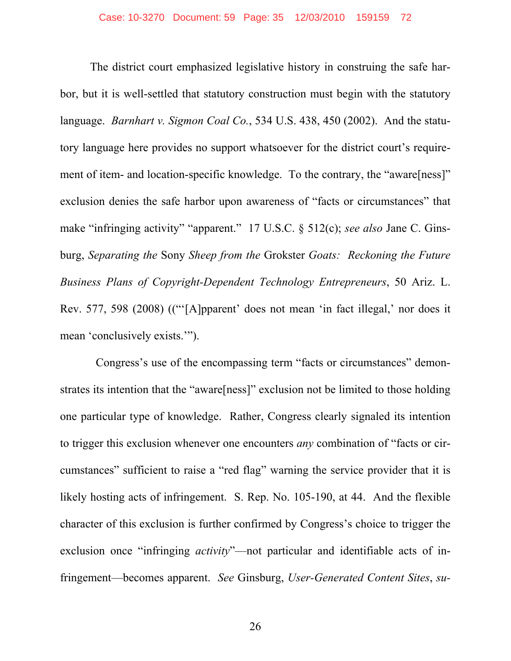The district court emphasized legislative history in construing the safe harbor, but it is well-settled that statutory construction must begin with the statutory language. *Barnhart v. Sigmon Coal Co.*, 534 U.S. 438, 450 (2002). And the statutory language here provides no support whatsoever for the district court's requirement of item- and location-specific knowledge. To the contrary, the "aware[ness]" exclusion denies the safe harbor upon awareness of "facts or circumstances" that make "infringing activity" "apparent." 17 U.S.C. § 512(c); *see also* Jane C. Ginsburg, *Separating the* Sony *Sheep from the* Grokster *Goats: Reckoning the Future Business Plans of Copyright-Dependent Technology Entrepreneurs*, 50 Ariz. L. Rev. 577, 598 (2008) (("'[A]pparent' does not mean 'in fact illegal,' nor does it mean 'conclusively exists.'").

 Congress's use of the encompassing term "facts or circumstances" demonstrates its intention that the "aware[ness]" exclusion not be limited to those holding one particular type of knowledge. Rather, Congress clearly signaled its intention to trigger this exclusion whenever one encounters *any* combination of "facts or circumstances" sufficient to raise a "red flag" warning the service provider that it is likely hosting acts of infringement. S. Rep. No. 105-190, at 44. And the flexible character of this exclusion is further confirmed by Congress's choice to trigger the exclusion once "infringing *activity*"—not particular and identifiable acts of infringement—becomes apparent. *See* Ginsburg, *User-Generated Content Sites*, *su-*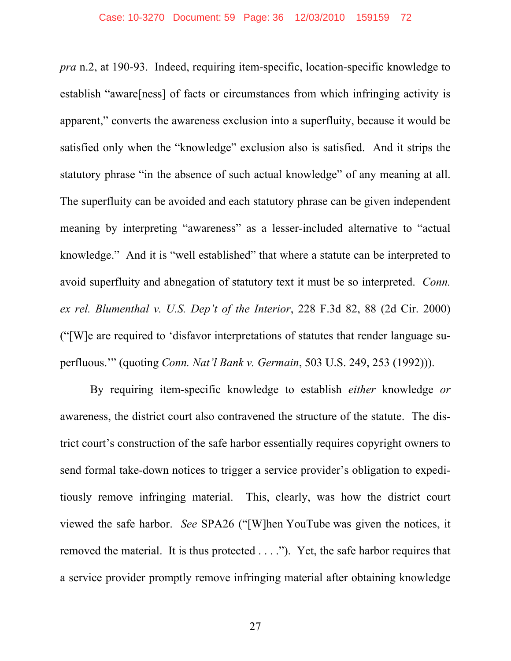*pra* n.2, at 190-93. Indeed, requiring item-specific, location-specific knowledge to establish "aware[ness] of facts or circumstances from which infringing activity is apparent," converts the awareness exclusion into a superfluity, because it would be satisfied only when the "knowledge" exclusion also is satisfied. And it strips the statutory phrase "in the absence of such actual knowledge" of any meaning at all. The superfluity can be avoided and each statutory phrase can be given independent meaning by interpreting "awareness" as a lesser-included alternative to "actual knowledge." And it is "well established" that where a statute can be interpreted to avoid superfluity and abnegation of statutory text it must be so interpreted. *Conn. ex rel. Blumenthal v. U.S. Dep't of the Interior*, 228 F.3d 82, 88 (2d Cir. 2000) ("[W]e are required to 'disfavor interpretations of statutes that render language superfluous.'" (quoting *Conn. Nat'l Bank v. Germain*, 503 U.S. 249, 253 (1992))).

By requiring item-specific knowledge to establish *either* knowledge *or* awareness, the district court also contravened the structure of the statute. The district court's construction of the safe harbor essentially requires copyright owners to send formal take-down notices to trigger a service provider's obligation to expeditiously remove infringing material. This, clearly, was how the district court viewed the safe harbor. *See* SPA26 ("[W]hen YouTube was given the notices, it removed the material. It is thus protected . . . ."). Yet, the safe harbor requires that a service provider promptly remove infringing material after obtaining knowledge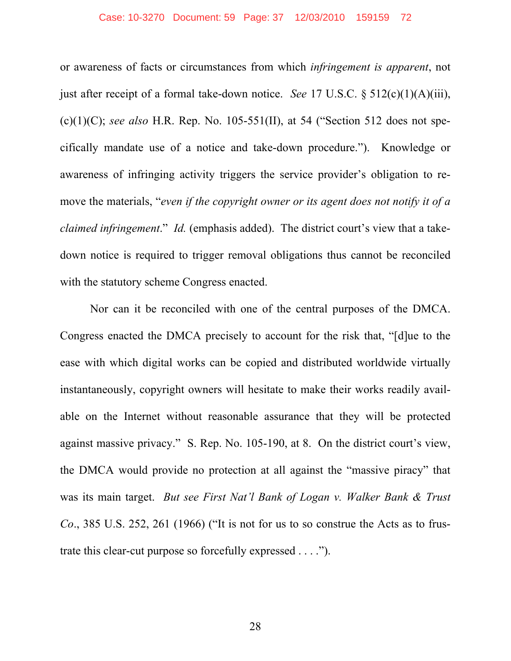## Case: 10-3270 Document: 59 Page: 37 12/03/2010 159159 72

or awareness of facts or circumstances from which *infringement is apparent*, not just after receipt of a formal take-down notice. *See* 17 U.S.C. § 512(c)(1)(A)(iii), (c)(1)(C); *see also* H.R. Rep. No. 105-551(II), at 54 ("Section 512 does not specifically mandate use of a notice and take-down procedure."). Knowledge or awareness of infringing activity triggers the service provider's obligation to remove the materials, "*even if the copyright owner or its agent does not notify it of a claimed infringement*." *Id.* (emphasis added). The district court's view that a takedown notice is required to trigger removal obligations thus cannot be reconciled with the statutory scheme Congress enacted.

Nor can it be reconciled with one of the central purposes of the DMCA. Congress enacted the DMCA precisely to account for the risk that, "[d]ue to the ease with which digital works can be copied and distributed worldwide virtually instantaneously, copyright owners will hesitate to make their works readily available on the Internet without reasonable assurance that they will be protected against massive privacy." S. Rep. No. 105-190, at 8. On the district court's view, the DMCA would provide no protection at all against the "massive piracy" that was its main target. *But see First Nat'l Bank of Logan v. Walker Bank & Trust Co*., 385 U.S. 252, 261 (1966) ("It is not for us to so construe the Acts as to frustrate this clear-cut purpose so forcefully expressed . . . .").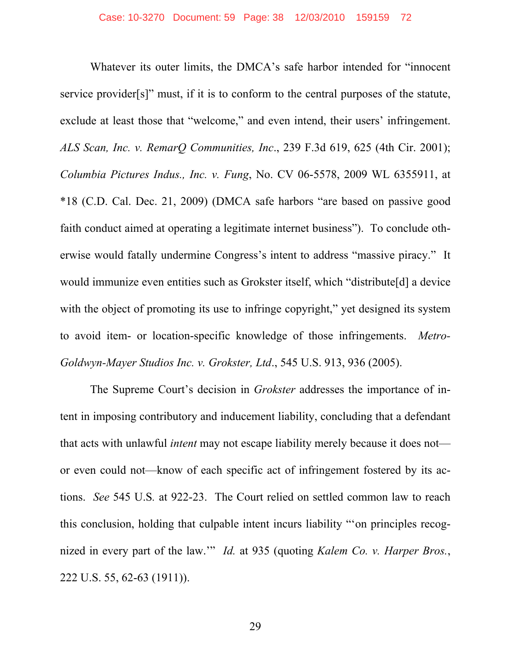Whatever its outer limits, the DMCA's safe harbor intended for "innocent service provider[s]" must, if it is to conform to the central purposes of the statute, exclude at least those that "welcome," and even intend, their users' infringement. *ALS Scan, Inc. v. RemarQ Communities, Inc*., 239 F.3d 619, 625 (4th Cir. 2001); *Columbia Pictures Indus., Inc. v. Fung*, No. CV 06-5578, 2009 WL 6355911, at \*18 (C.D. Cal. Dec. 21, 2009) (DMCA safe harbors "are based on passive good faith conduct aimed at operating a legitimate internet business"). To conclude otherwise would fatally undermine Congress's intent to address "massive piracy." It would immunize even entities such as Grokster itself, which "distribute[d] a device with the object of promoting its use to infringe copyright," yet designed its system to avoid item- or location-specific knowledge of those infringements. *Metro-Goldwyn-Mayer Studios Inc. v. Grokster, Ltd*., 545 U.S. 913, 936 (2005).

The Supreme Court's decision in *Grokster* addresses the importance of intent in imposing contributory and inducement liability, concluding that a defendant that acts with unlawful *intent* may not escape liability merely because it does not or even could not—know of each specific act of infringement fostered by its actions. *See* 545 U.S*.* at 922-23. The Court relied on settled common law to reach this conclusion, holding that culpable intent incurs liability "'on principles recognized in every part of the law.'" *Id.* at 935 (quoting *Kalem Co. v. Harper Bros.*, 222 U.S. 55, 62-63 (1911)).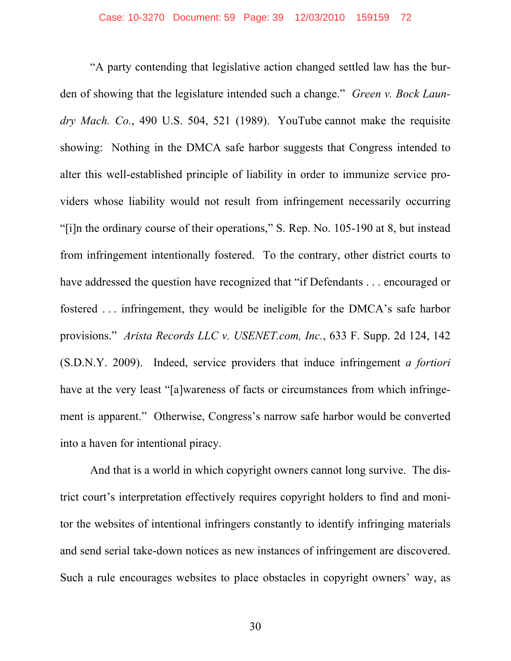"A party contending that legislative action changed settled law has the burden of showing that the legislature intended such a change." *Green v. Bock Laundry Mach. Co.*, 490 U.S. 504, 521 (1989). YouTube cannot make the requisite showing: Nothing in the DMCA safe harbor suggests that Congress intended to alter this well-established principle of liability in order to immunize service providers whose liability would not result from infringement necessarily occurring "[i]n the ordinary course of their operations," S. Rep. No. 105-190 at 8, but instead from infringement intentionally fostered. To the contrary, other district courts to have addressed the question have recognized that "if Defendants . . . encouraged or fostered . . . infringement, they would be ineligible for the DMCA's safe harbor provisions." *Arista Records LLC v. USENET.com, Inc.*, 633 F. Supp. 2d 124, 142 (S.D.N.Y. 2009). Indeed, service providers that induce infringement *a fortiori* have at the very least "[a]wareness of facts or circumstances from which infringement is apparent." Otherwise, Congress's narrow safe harbor would be converted into a haven for intentional piracy.

And that is a world in which copyright owners cannot long survive. The district court's interpretation effectively requires copyright holders to find and monitor the websites of intentional infringers constantly to identify infringing materials and send serial take-down notices as new instances of infringement are discovered. Such a rule encourages websites to place obstacles in copyright owners' way, as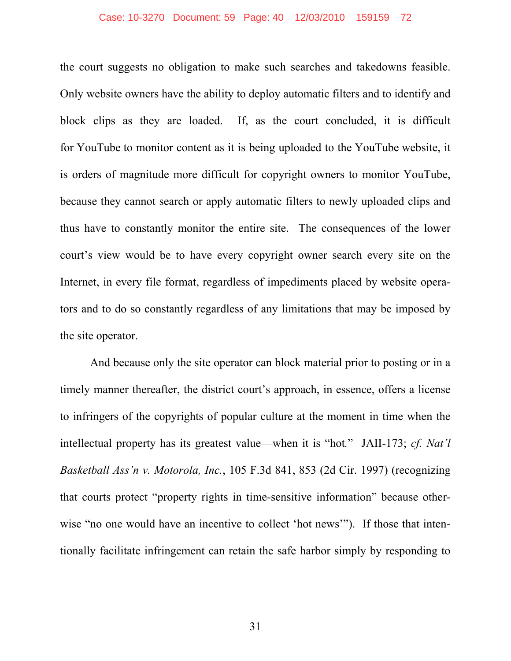## Case: 10-3270 Document: 59 Page: 40 12/03/2010 159159 72

the court suggests no obligation to make such searches and takedowns feasible. Only website owners have the ability to deploy automatic filters and to identify and block clips as they are loaded. If, as the court concluded, it is difficult for YouTube to monitor content as it is being uploaded to the YouTube website, it is orders of magnitude more difficult for copyright owners to monitor YouTube, because they cannot search or apply automatic filters to newly uploaded clips and thus have to constantly monitor the entire site. The consequences of the lower court's view would be to have every copyright owner search every site on the Internet, in every file format, regardless of impediments placed by website operators and to do so constantly regardless of any limitations that may be imposed by the site operator.

And because only the site operator can block material prior to posting or in a timely manner thereafter, the district court's approach, in essence, offers a license to infringers of the copyrights of popular culture at the moment in time when the intellectual property has its greatest value—when it is "hot*.*" JAII-173; *cf. Nat'l Basketball Ass'n v. Motorola, Inc.*, 105 F.3d 841, 853 (2d Cir. 1997) (recognizing that courts protect "property rights in time-sensitive information" because otherwise "no one would have an incentive to collect 'hot news'"). If those that intentionally facilitate infringement can retain the safe harbor simply by responding to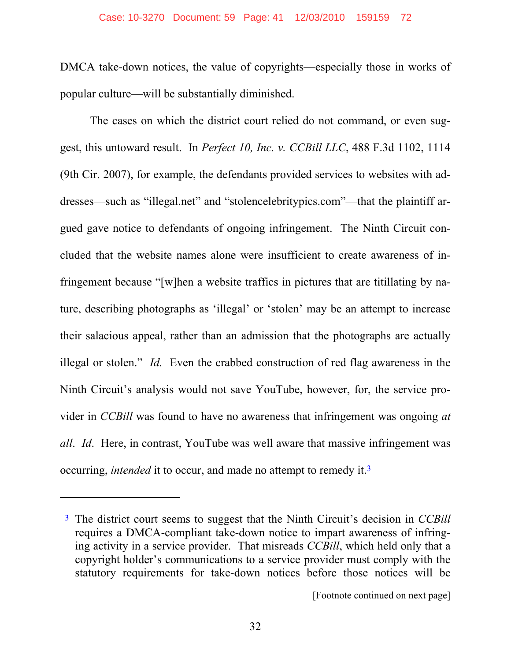DMCA take-down notices, the value of copyrights—especially those in works of popular culture—will be substantially diminished.

The cases on which the district court relied do not command, or even suggest, this untoward result. In *Perfect 10, Inc. v. CCBill LLC*, 488 F.3d 1102, 1114 (9th Cir. 2007), for example, the defendants provided services to websites with addresses—such as "illegal.net" and "stolencelebritypics.com"—that the plaintiff argued gave notice to defendants of ongoing infringement. The Ninth Circuit concluded that the website names alone were insufficient to create awareness of infringement because "[w]hen a website traffics in pictures that are titillating by nature, describing photographs as 'illegal' or 'stolen' may be an attempt to increase their salacious appeal, rather than an admission that the photographs are actually illegal or stolen." *Id.* Even the crabbed construction of red flag awareness in the Ninth Circuit's analysis would not save YouTube, however, for, the service provider in *CCBill* was found to have no awareness that infringement was ongoing *at all*. *Id*. Here, in contrast, YouTube was well aware that massive infringement was occurring, *intended* it to occur, and made no attempt to remedy it.3

 $\overline{a}$ 

<sup>3</sup> The district court seems to suggest that the Ninth Circuit's decision in *CCBill* requires a DMCA-compliant take-down notice to impart awareness of infringing activity in a service provider. That misreads *CCBill*, which held only that a copyright holder's communications to a service provider must comply with the statutory requirements for take-down notices before those notices will be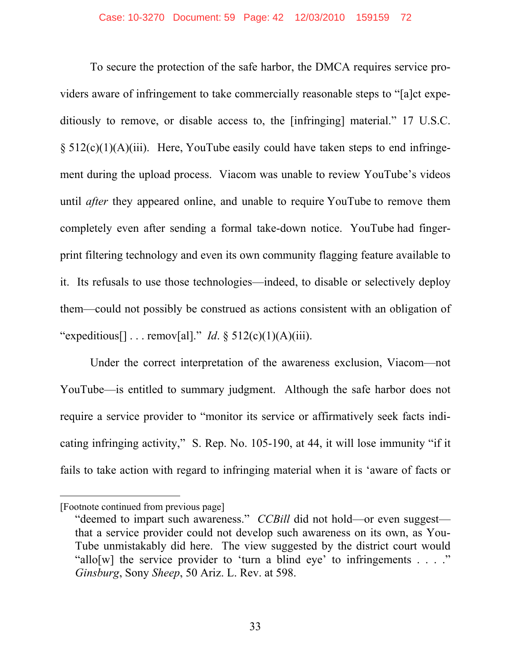To secure the protection of the safe harbor, the DMCA requires service providers aware of infringement to take commercially reasonable steps to "[a]ct expeditiously to remove, or disable access to, the [infringing] material." 17 U.S.C.  $\S 512(c)(1)(A)(iii)$ . Here, YouTube easily could have taken steps to end infringement during the upload process. Viacom was unable to review YouTube's videos until *after* they appeared online, and unable to require YouTube to remove them completely even after sending a formal take-down notice. YouTube had fingerprint filtering technology and even its own community flagging feature available to it. Its refusals to use those technologies—indeed, to disable or selectively deploy them—could not possibly be construed as actions consistent with an obligation of "expeditious[] . . . remov[al]." *Id*. § 512(c)(1)(A)(iii).

Under the correct interpretation of the awareness exclusion, Viacom—not YouTube—is entitled to summary judgment. Although the safe harbor does not require a service provider to "monitor its service or affirmatively seek facts indicating infringing activity," S. Rep. No. 105-190, at 44, it will lose immunity "if it fails to take action with regard to infringing material when it is 'aware of facts or

 $\overline{a}$ 

<sup>[</sup>Footnote continued from previous page]

<sup>&</sup>quot;deemed to impart such awareness." *CCBill* did not hold—or even suggest that a service provider could not develop such awareness on its own, as You-Tube unmistakably did here. The view suggested by the district court would "allo[w] the service provider to 'turn a blind eye' to infringements  $\ldots$ " *Ginsburg*, Sony *Sheep*, 50 Ariz. L. Rev. at 598.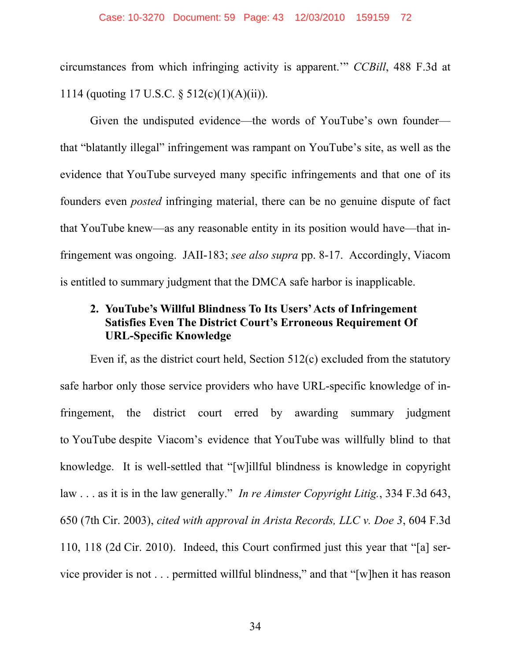circumstances from which infringing activity is apparent.'" *CCBill*, 488 F.3d at 1114 (quoting 17 U.S.C. § 512(c)(1)(A)(ii)).

Given the undisputed evidence—the words of YouTube's own founder that "blatantly illegal" infringement was rampant on YouTube's site, as well as the evidence that YouTube surveyed many specific infringements and that one of its founders even *posted* infringing material, there can be no genuine dispute of fact that YouTube knew—as any reasonable entity in its position would have—that infringement was ongoing. JAII-183; *see also supra* pp. 8-17. Accordingly, Viacom is entitled to summary judgment that the DMCA safe harbor is inapplicable.

# **2. YouTube's Willful Blindness To Its Users' Acts of Infringement Satisfies Even The District Court's Erroneous Requirement Of URL-Specific Knowledge**

Even if, as the district court held, Section 512(c) excluded from the statutory safe harbor only those service providers who have URL-specific knowledge of infringement, the district court erred by awarding summary judgment to YouTube despite Viacom's evidence that YouTube was willfully blind to that knowledge. It is well-settled that "[w]illful blindness is knowledge in copyright law . . . as it is in the law generally." *In re Aimster Copyright Litig.*, 334 F.3d 643, 650 (7th Cir. 2003), *cited with approval in Arista Records, LLC v. Doe 3*, 604 F.3d 110, 118 (2d Cir. 2010). Indeed, this Court confirmed just this year that "[a] service provider is not . . . permitted willful blindness," and that "[w]hen it has reason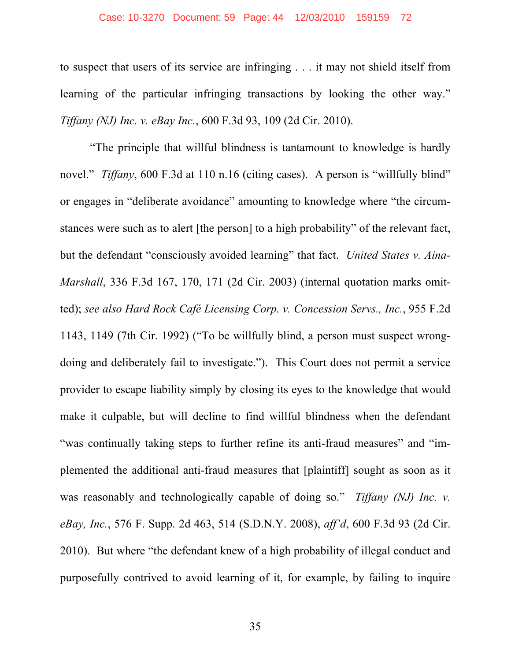#### Case: 10-3270 Document: 59 Page: 44 12/03/2010 159159 72

to suspect that users of its service are infringing . . . it may not shield itself from learning of the particular infringing transactions by looking the other way." *Tiffany (NJ) Inc. v. eBay Inc.*, 600 F.3d 93, 109 (2d Cir. 2010).

"The principle that willful blindness is tantamount to knowledge is hardly novel." *Tiffany*, 600 F.3d at 110 n.16 (citing cases). A person is "willfully blind" or engages in "deliberate avoidance" amounting to knowledge where "the circumstances were such as to alert [the person] to a high probability" of the relevant fact, but the defendant "consciously avoided learning" that fact. *United States v. Aina-Marshall*, 336 F.3d 167, 170, 171 (2d Cir. 2003) (internal quotation marks omitted); *see also Hard Rock Café Licensing Corp. v. Concession Servs., Inc.*, 955 F.2d 1143, 1149 (7th Cir. 1992) ("To be willfully blind, a person must suspect wrongdoing and deliberately fail to investigate."). This Court does not permit a service provider to escape liability simply by closing its eyes to the knowledge that would make it culpable, but will decline to find willful blindness when the defendant "was continually taking steps to further refine its anti-fraud measures" and "implemented the additional anti-fraud measures that [plaintiff] sought as soon as it was reasonably and technologically capable of doing so." *Tiffany (NJ) Inc. v. eBay, Inc.*, 576 F. Supp. 2d 463, 514 (S.D.N.Y. 2008), *aff'd*, 600 F.3d 93 (2d Cir. 2010). But where "the defendant knew of a high probability of illegal conduct and purposefully contrived to avoid learning of it, for example, by failing to inquire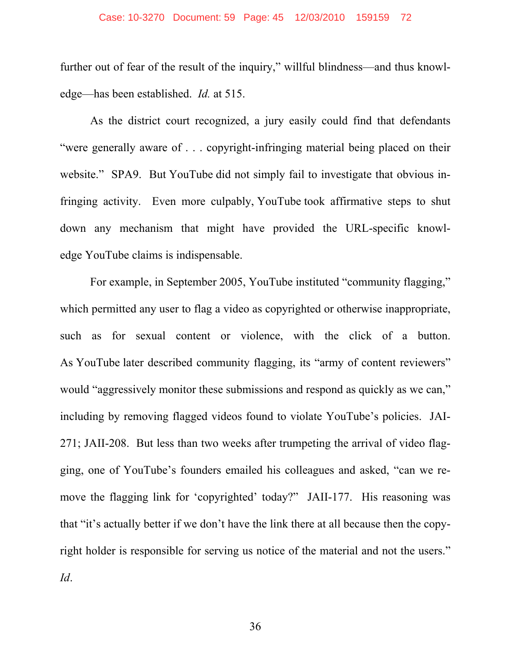## Case: 10-3270 Document: 59 Page: 45 12/03/2010 159159 72

further out of fear of the result of the inquiry," willful blindness—and thus knowledge—has been established. *Id.* at 515.

As the district court recognized, a jury easily could find that defendants "were generally aware of . . . copyright-infringing material being placed on their website." SPA9. But YouTube did not simply fail to investigate that obvious infringing activity. Even more culpably, YouTube took affirmative steps to shut down any mechanism that might have provided the URL-specific knowledge YouTube claims is indispensable.

For example, in September 2005, YouTube instituted "community flagging," which permitted any user to flag a video as copyrighted or otherwise inappropriate, such as for sexual content or violence, with the click of a button. As YouTube later described community flagging, its "army of content reviewers" would "aggressively monitor these submissions and respond as quickly as we can," including by removing flagged videos found to violate YouTube's policies. JAI-271; JAII-208. But less than two weeks after trumpeting the arrival of video flagging, one of YouTube's founders emailed his colleagues and asked, "can we remove the flagging link for 'copyrighted' today?" JAII-177. His reasoning was that "it's actually better if we don't have the link there at all because then the copyright holder is responsible for serving us notice of the material and not the users." *Id*.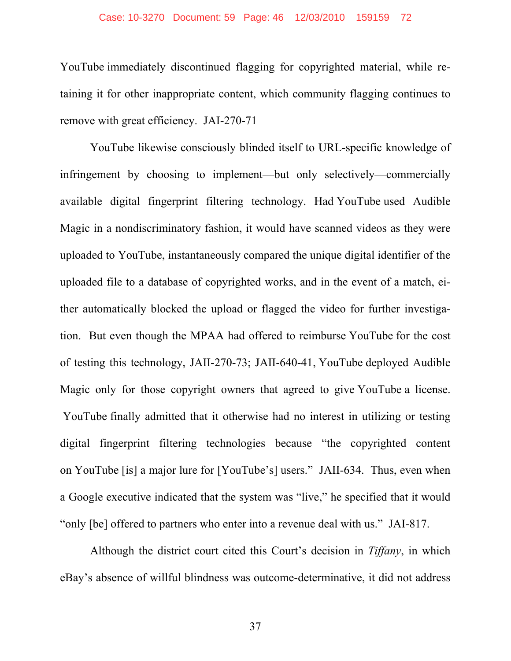#### Case: 10-3270 Document: 59 Page: 46 12/03/2010 159159 72

YouTube immediately discontinued flagging for copyrighted material, while retaining it for other inappropriate content, which community flagging continues to remove with great efficiency. JAI-270-71

YouTube likewise consciously blinded itself to URL-specific knowledge of infringement by choosing to implement—but only selectively—commercially available digital fingerprint filtering technology. Had YouTube used Audible Magic in a nondiscriminatory fashion, it would have scanned videos as they were uploaded to YouTube, instantaneously compared the unique digital identifier of the uploaded file to a database of copyrighted works, and in the event of a match, either automatically blocked the upload or flagged the video for further investigation. But even though the MPAA had offered to reimburse YouTube for the cost of testing this technology, JAII-270-73; JAII-640-41, YouTube deployed Audible Magic only for those copyright owners that agreed to give YouTube a license. YouTube finally admitted that it otherwise had no interest in utilizing or testing digital fingerprint filtering technologies because "the copyrighted content on YouTube [is] a major lure for [YouTube's] users." JAII-634. Thus, even when a Google executive indicated that the system was "live," he specified that it would "only [be] offered to partners who enter into a revenue deal with us." JAI-817.

Although the district court cited this Court's decision in *Tiffany*, in which eBay's absence of willful blindness was outcome-determinative, it did not address

37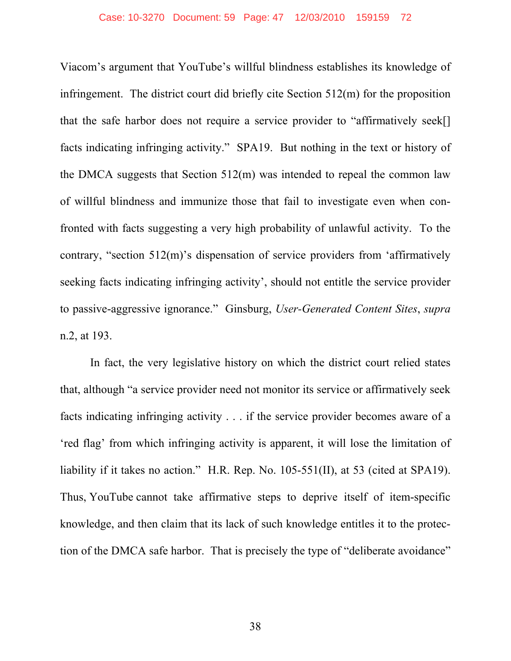Viacom's argument that YouTube's willful blindness establishes its knowledge of infringement. The district court did briefly cite Section 512(m) for the proposition that the safe harbor does not require a service provider to "affirmatively seek[] facts indicating infringing activity." SPA19. But nothing in the text or history of the DMCA suggests that Section 512(m) was intended to repeal the common law of willful blindness and immunize those that fail to investigate even when confronted with facts suggesting a very high probability of unlawful activity. To the contrary, "section 512(m)'s dispensation of service providers from 'affirmatively seeking facts indicating infringing activity', should not entitle the service provider to passive-aggressive ignorance." Ginsburg, *User-Generated Content Sites*, *supra* n.2, at 193.

In fact, the very legislative history on which the district court relied states that, although "a service provider need not monitor its service or affirmatively seek facts indicating infringing activity . . . if the service provider becomes aware of a 'red flag' from which infringing activity is apparent, it will lose the limitation of liability if it takes no action." H.R. Rep. No. 105-551(II), at 53 (cited at SPA19). Thus, YouTube cannot take affirmative steps to deprive itself of item-specific knowledge, and then claim that its lack of such knowledge entitles it to the protection of the DMCA safe harbor. That is precisely the type of "deliberate avoidance"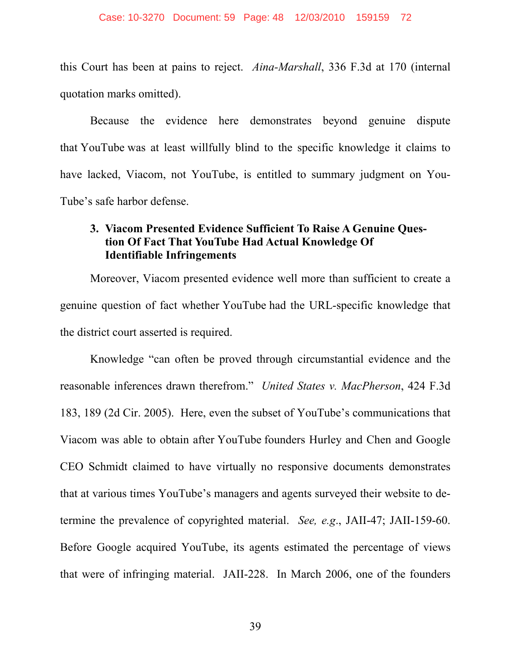this Court has been at pains to reject. *Aina-Marshall*, 336 F.3d at 170 (internal quotation marks omitted).

Because the evidence here demonstrates beyond genuine dispute that YouTube was at least willfully blind to the specific knowledge it claims to have lacked, Viacom, not YouTube, is entitled to summary judgment on You-Tube's safe harbor defense.

## **3. Viacom Presented Evidence Sufficient To Raise A Genuine Question Of Fact That YouTube Had Actual Knowledge Of Identifiable Infringements**

Moreover, Viacom presented evidence well more than sufficient to create a genuine question of fact whether YouTube had the URL-specific knowledge that the district court asserted is required.

Knowledge "can often be proved through circumstantial evidence and the reasonable inferences drawn therefrom." *United States v. MacPherson*, 424 F.3d 183, 189 (2d Cir. 2005). Here, even the subset of YouTube's communications that Viacom was able to obtain after YouTube founders Hurley and Chen and Google CEO Schmidt claimed to have virtually no responsive documents demonstrates that at various times YouTube's managers and agents surveyed their website to determine the prevalence of copyrighted material. *See, e.g*., JAII-47; JAII-159-60. Before Google acquired YouTube, its agents estimated the percentage of views that were of infringing material. JAII-228. In March 2006, one of the founders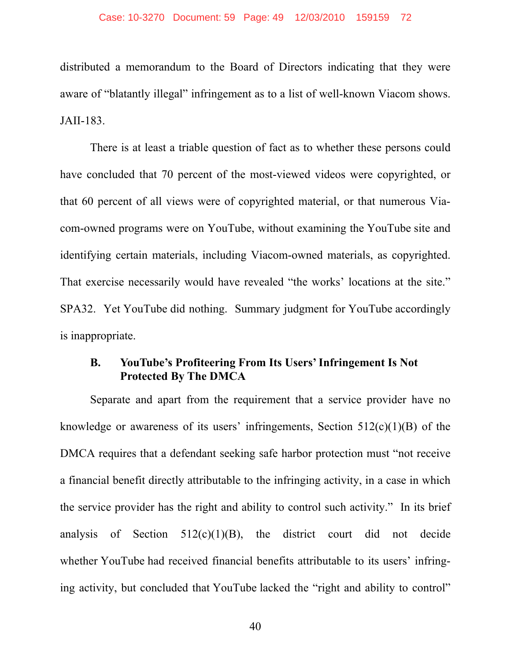distributed a memorandum to the Board of Directors indicating that they were aware of "blatantly illegal" infringement as to a list of well-known Viacom shows. JAII-183.

There is at least a triable question of fact as to whether these persons could have concluded that 70 percent of the most-viewed videos were copyrighted, or that 60 percent of all views were of copyrighted material, or that numerous Viacom-owned programs were on YouTube, without examining the YouTube site and identifying certain materials, including Viacom-owned materials, as copyrighted. That exercise necessarily would have revealed "the works' locations at the site." SPA32. Yet YouTube did nothing. Summary judgment for YouTube accordingly is inappropriate.

## **B. YouTube's Profiteering From Its Users' Infringement Is Not Protected By The DMCA**

Separate and apart from the requirement that a service provider have no knowledge or awareness of its users' infringements, Section  $512(c)(1)(B)$  of the DMCA requires that a defendant seeking safe harbor protection must "not receive a financial benefit directly attributable to the infringing activity, in a case in which the service provider has the right and ability to control such activity." In its brief analysis of Section  $512(c)(1)(B)$ , the district court did not decide whether YouTube had received financial benefits attributable to its users' infringing activity, but concluded that YouTube lacked the "right and ability to control"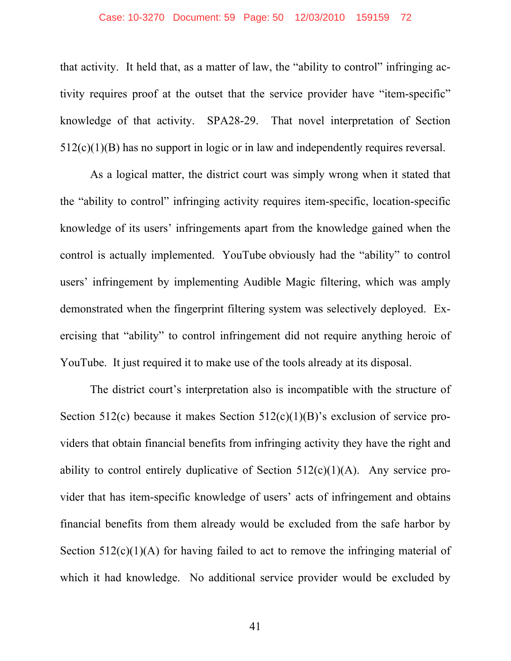#### Case: 10-3270 Document: 59 Page: 50 12/03/2010 159159 72

that activity. It held that, as a matter of law, the "ability to control" infringing activity requires proof at the outset that the service provider have "item-specific" knowledge of that activity. SPA28-29. That novel interpretation of Section 512(c)(1)(B) has no support in logic or in law and independently requires reversal.

As a logical matter, the district court was simply wrong when it stated that the "ability to control" infringing activity requires item-specific, location-specific knowledge of its users' infringements apart from the knowledge gained when the control is actually implemented. YouTube obviously had the "ability" to control users' infringement by implementing Audible Magic filtering, which was amply demonstrated when the fingerprint filtering system was selectively deployed. Exercising that "ability" to control infringement did not require anything heroic of YouTube. It just required it to make use of the tools already at its disposal.

The district court's interpretation also is incompatible with the structure of Section 512(c) because it makes Section 512(c)(1)(B)'s exclusion of service providers that obtain financial benefits from infringing activity they have the right and ability to control entirely duplicative of Section  $512(c)(1)(A)$ . Any service provider that has item-specific knowledge of users' acts of infringement and obtains financial benefits from them already would be excluded from the safe harbor by Section  $512(c)(1)(A)$  for having failed to act to remove the infringing material of which it had knowledge. No additional service provider would be excluded by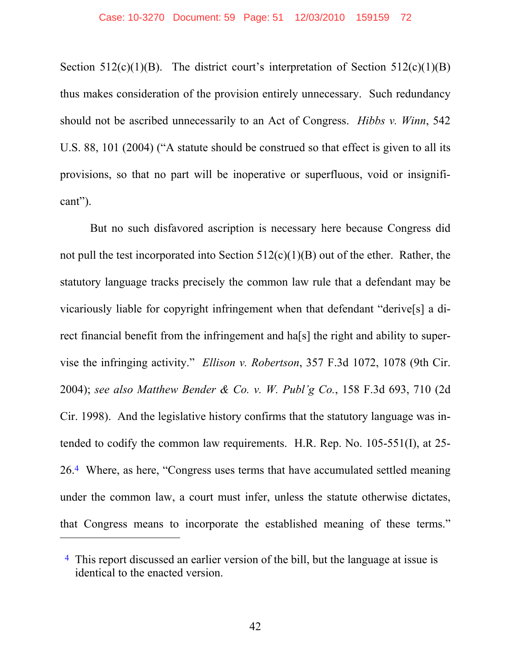Section 512(c)(1)(B). The district court's interpretation of Section 512(c)(1)(B) thus makes consideration of the provision entirely unnecessary. Such redundancy should not be ascribed unnecessarily to an Act of Congress. *Hibbs v. Winn*, 542 U.S. 88, 101 (2004) ("A statute should be construed so that effect is given to all its provisions, so that no part will be inoperative or superfluous, void or insignificant").

But no such disfavored ascription is necessary here because Congress did not pull the test incorporated into Section 512(c)(1)(B) out of the ether. Rather, the statutory language tracks precisely the common law rule that a defendant may be vicariously liable for copyright infringement when that defendant "derive[s] a direct financial benefit from the infringement and ha[s] the right and ability to supervise the infringing activity." *Ellison v. Robertson*, 357 F.3d 1072, 1078 (9th Cir. 2004); *see also Matthew Bender & Co. v. W. Publ'g Co.*, 158 F.3d 693, 710 (2d Cir. 1998). And the legislative history confirms that the statutory language was intended to codify the common law requirements. H.R. Rep. No. 105-551(I), at 25- 26.4 Where, as here, "Congress uses terms that have accumulated settled meaning under the common law, a court must infer, unless the statute otherwise dictates, that Congress means to incorporate the established meaning of these terms."

 $\overline{a}$ 

<sup>4</sup> This report discussed an earlier version of the bill, but the language at issue is identical to the enacted version.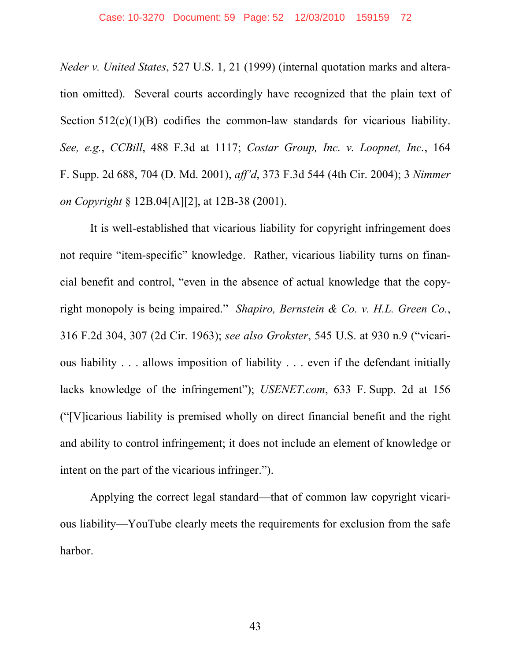*Neder v. United States*, 527 U.S. 1, 21 (1999) (internal quotation marks and alteration omitted). Several courts accordingly have recognized that the plain text of Section  $512(c)(1)(B)$  codifies the common-law standards for vicarious liability. *See, e.g.*, *CCBill*, 488 F.3d at 1117; *Costar Group, Inc. v. Loopnet, Inc.*, 164 F. Supp. 2d 688, 704 (D. Md. 2001), *aff'd*, 373 F.3d 544 (4th Cir. 2004); 3 *Nimmer on Copyright* § 12B.04[A][2], at 12B-38 (2001).

It is well-established that vicarious liability for copyright infringement does not require "item-specific" knowledge. Rather, vicarious liability turns on financial benefit and control, "even in the absence of actual knowledge that the copyright monopoly is being impaired." *Shapiro, Bernstein & Co. v. H.L. Green Co.*, 316 F.2d 304, 307 (2d Cir. 1963); *see also Grokster*, 545 U.S. at 930 n.9 ("vicarious liability . . . allows imposition of liability . . . even if the defendant initially lacks knowledge of the infringement"); *USENET.com*, 633 F. Supp. 2d at 156 ("[V]icarious liability is premised wholly on direct financial benefit and the right and ability to control infringement; it does not include an element of knowledge or intent on the part of the vicarious infringer.").

Applying the correct legal standard—that of common law copyright vicarious liability—YouTube clearly meets the requirements for exclusion from the safe harbor.

43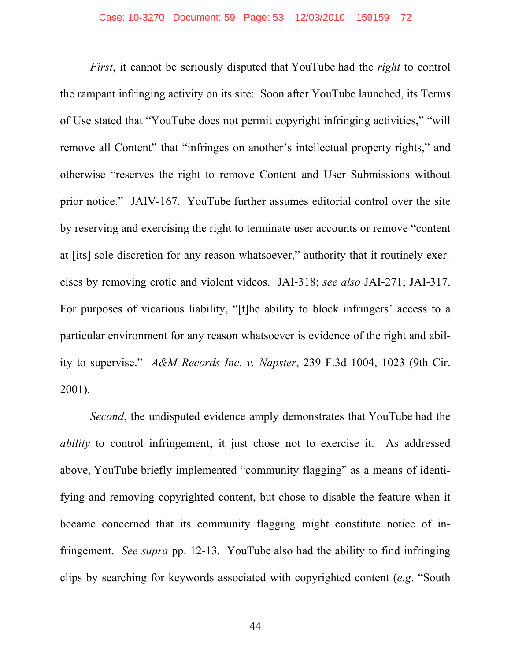*First*, it cannot be seriously disputed that YouTube had the *right* to control the rampant infringing activity on its site: Soon after YouTube launched, its Terms of Use stated that "YouTube does not permit copyright infringing activities," "will remove all Content" that "infringes on another's intellectual property rights," and otherwise "reserves the right to remove Content and User Submissions without prior notice." JAIV-167. YouTube further assumes editorial control over the site by reserving and exercising the right to terminate user accounts or remove "content at [its] sole discretion for any reason whatsoever," authority that it routinely exercises by removing erotic and violent videos. JAI-318; *see also* JAI-271; JAI-317. For purposes of vicarious liability, "[t]he ability to block infringers' access to a particular environment for any reason whatsoever is evidence of the right and ability to supervise." *A&M Records Inc. v. Napster*, 239 F.3d 1004, 1023 (9th Cir. 2001).

*Second*, the undisputed evidence amply demonstrates that YouTube had the *ability* to control infringement; it just chose not to exercise it. As addressed above, YouTube briefly implemented "community flagging" as a means of identifying and removing copyrighted content, but chose to disable the feature when it became concerned that its community flagging might constitute notice of infringement. *See supra* pp. 12-13. YouTube also had the ability to find infringing clips by searching for keywords associated with copyrighted content (*e.g*. "South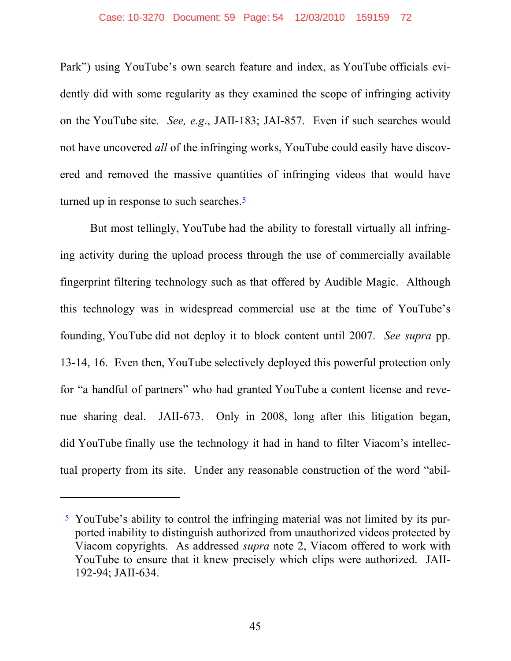#### Case: 10-3270 Document: 59 Page: 54 12/03/2010 159159 72

Park") using YouTube's own search feature and index, as YouTube officials evidently did with some regularity as they examined the scope of infringing activity on the YouTube site. *See, e.g*., JAII-183; JAI-857. Even if such searches would not have uncovered *all* of the infringing works, YouTube could easily have discovered and removed the massive quantities of infringing videos that would have turned up in response to such searches.<sup>5</sup>

But most tellingly, YouTube had the ability to forestall virtually all infringing activity during the upload process through the use of commercially available fingerprint filtering technology such as that offered by Audible Magic. Although this technology was in widespread commercial use at the time of YouTube's founding, YouTube did not deploy it to block content until 2007. *See supra* pp. 13-14, 16. Even then, YouTube selectively deployed this powerful protection only for "a handful of partners" who had granted YouTube a content license and revenue sharing deal. JAII-673. Only in 2008, long after this litigation began, did YouTube finally use the technology it had in hand to filter Viacom's intellectual property from its site. Under any reasonable construction of the word "abil-

 $\overline{a}$ 

<sup>5</sup> YouTube's ability to control the infringing material was not limited by its purported inability to distinguish authorized from unauthorized videos protected by Viacom copyrights. As addressed *supra* note 2, Viacom offered to work with YouTube to ensure that it knew precisely which clips were authorized. JAII-192-94; JAII-634.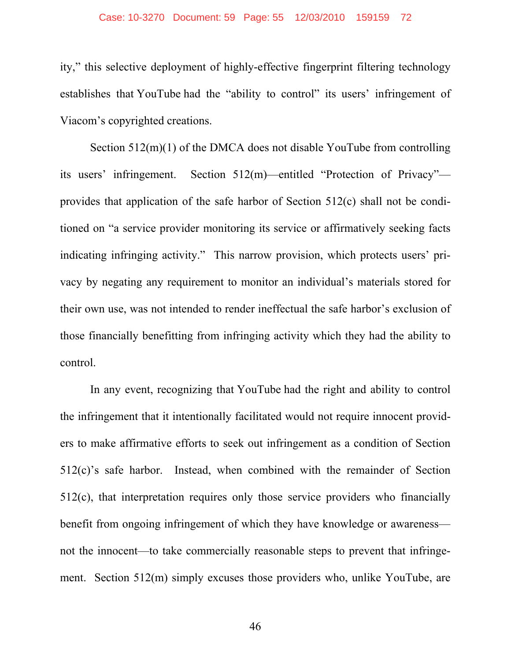#### Case: 10-3270 Document: 59 Page: 55 12/03/2010 159159 72

ity," this selective deployment of highly-effective fingerprint filtering technology establishes that YouTube had the "ability to control" its users' infringement of Viacom's copyrighted creations.

Section 512(m)(1) of the DMCA does not disable YouTube from controlling its users' infringement. Section 512(m)—entitled "Protection of Privacy" provides that application of the safe harbor of Section 512(c) shall not be conditioned on "a service provider monitoring its service or affirmatively seeking facts indicating infringing activity." This narrow provision, which protects users' privacy by negating any requirement to monitor an individual's materials stored for their own use, was not intended to render ineffectual the safe harbor's exclusion of those financially benefitting from infringing activity which they had the ability to control.

In any event, recognizing that YouTube had the right and ability to control the infringement that it intentionally facilitated would not require innocent providers to make affirmative efforts to seek out infringement as a condition of Section 512(c)'s safe harbor. Instead, when combined with the remainder of Section 512(c), that interpretation requires only those service providers who financially benefit from ongoing infringement of which they have knowledge or awareness not the innocent—to take commercially reasonable steps to prevent that infringement. Section 512(m) simply excuses those providers who, unlike YouTube, are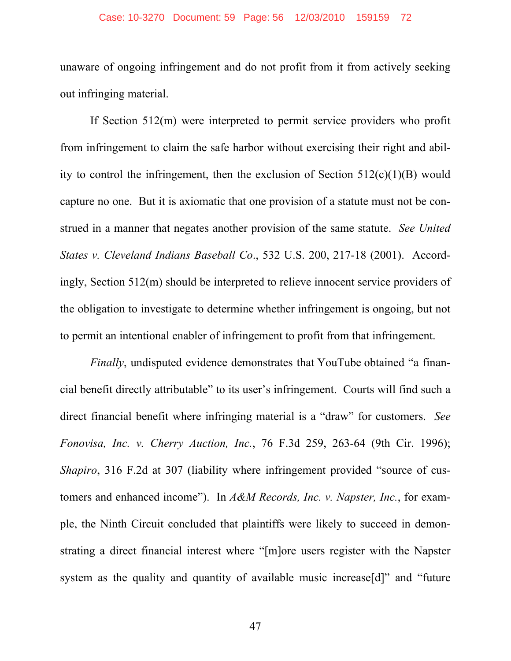## Case: 10-3270 Document: 59 Page: 56 12/03/2010 159159 72

unaware of ongoing infringement and do not profit from it from actively seeking out infringing material.

If Section 512(m) were interpreted to permit service providers who profit from infringement to claim the safe harbor without exercising their right and ability to control the infringement, then the exclusion of Section  $512(c)(1)(B)$  would capture no one. But it is axiomatic that one provision of a statute must not be construed in a manner that negates another provision of the same statute. *See United States v. Cleveland Indians Baseball Co*., 532 U.S. 200, 217-18 (2001). Accordingly, Section 512(m) should be interpreted to relieve innocent service providers of the obligation to investigate to determine whether infringement is ongoing, but not to permit an intentional enabler of infringement to profit from that infringement.

*Finally*, undisputed evidence demonstrates that YouTube obtained "a financial benefit directly attributable" to its user's infringement. Courts will find such a direct financial benefit where infringing material is a "draw" for customers. *See Fonovisa, Inc. v. Cherry Auction, Inc.*, 76 F.3d 259, 263-64 (9th Cir. 1996); *Shapiro*, 316 F.2d at 307 (liability where infringement provided "source of customers and enhanced income"). In *A&M Records, Inc. v. Napster, Inc.*, for example, the Ninth Circuit concluded that plaintiffs were likely to succeed in demonstrating a direct financial interest where "[m]ore users register with the Napster system as the quality and quantity of available music increase[d]" and "future"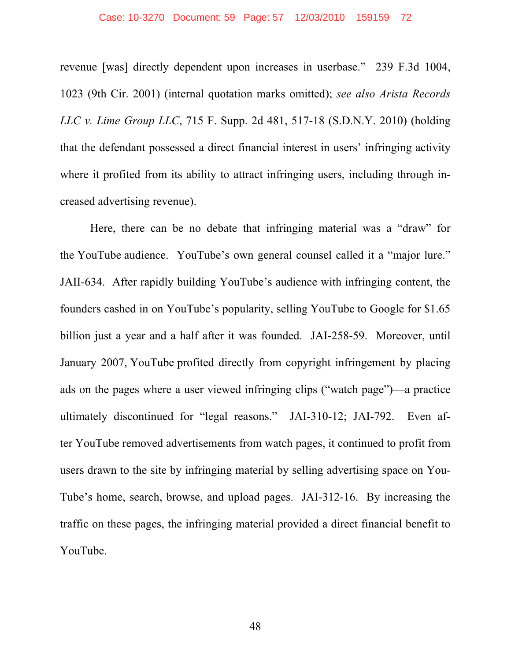#### Case: 10-3270 Document: 59 Page: 57 12/03/2010 159159 72

revenue [was] directly dependent upon increases in userbase." 239 F.3d 1004, 1023 (9th Cir. 2001) (internal quotation marks omitted); *see also Arista Records LLC v. Lime Group LLC*, 715 F. Supp. 2d 481, 517-18 (S.D.N.Y. 2010) (holding that the defendant possessed a direct financial interest in users' infringing activity where it profited from its ability to attract infringing users, including through increased advertising revenue).

Here, there can be no debate that infringing material was a "draw" for the YouTube audience. YouTube's own general counsel called it a "major lure." JAII-634. After rapidly building YouTube's audience with infringing content, the founders cashed in on YouTube's popularity, selling YouTube to Google for \$1.65 billion just a year and a half after it was founded. JAI-258-59. Moreover, until January 2007, YouTube profited directly from copyright infringement by placing ads on the pages where a user viewed infringing clips ("watch page")—a practice ultimately discontinued for "legal reasons." JAI-310-12; JAI-792. Even after YouTube removed advertisements from watch pages, it continued to profit from users drawn to the site by infringing material by selling advertising space on You-Tube's home, search, browse, and upload pages. JAI-312-16. By increasing the traffic on these pages, the infringing material provided a direct financial benefit to YouTube.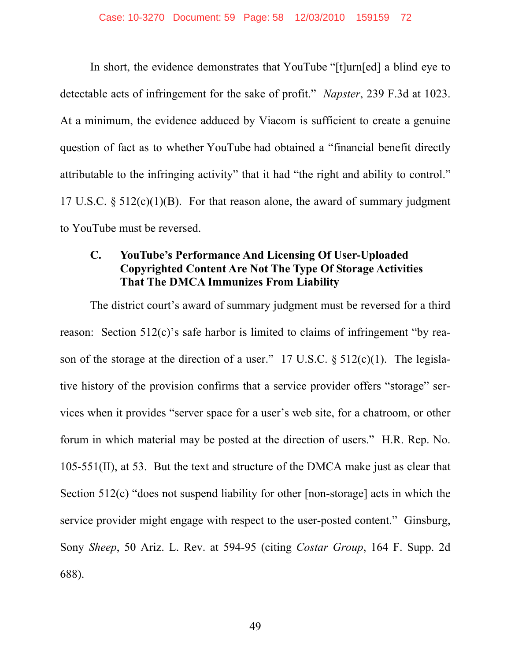In short, the evidence demonstrates that YouTube "[t]urn[ed] a blind eye to detectable acts of infringement for the sake of profit." *Napster*, 239 F.3d at 1023. At a minimum, the evidence adduced by Viacom is sufficient to create a genuine question of fact as to whether YouTube had obtained a "financial benefit directly attributable to the infringing activity" that it had "the right and ability to control." 17 U.S.C.  $\S 512(c)(1)(B)$ . For that reason alone, the award of summary judgment to YouTube must be reversed.

# **C. YouTube's Performance And Licensing Of User-Uploaded Copyrighted Content Are Not The Type Of Storage Activities That The DMCA Immunizes From Liability**

The district court's award of summary judgment must be reversed for a third reason: Section 512(c)'s safe harbor is limited to claims of infringement "by reason of the storage at the direction of a user." 17 U.S.C.  $\S$  512(c)(1). The legislative history of the provision confirms that a service provider offers "storage" services when it provides "server space for a user's web site, for a chatroom, or other forum in which material may be posted at the direction of users." H.R. Rep. No. 105-551(II), at 53. But the text and structure of the DMCA make just as clear that Section 512(c) "does not suspend liability for other [non-storage] acts in which the service provider might engage with respect to the user-posted content." Ginsburg, Sony *Sheep*, 50 Ariz. L. Rev. at 594-95 (citing *Costar Group*, 164 F. Supp. 2d 688).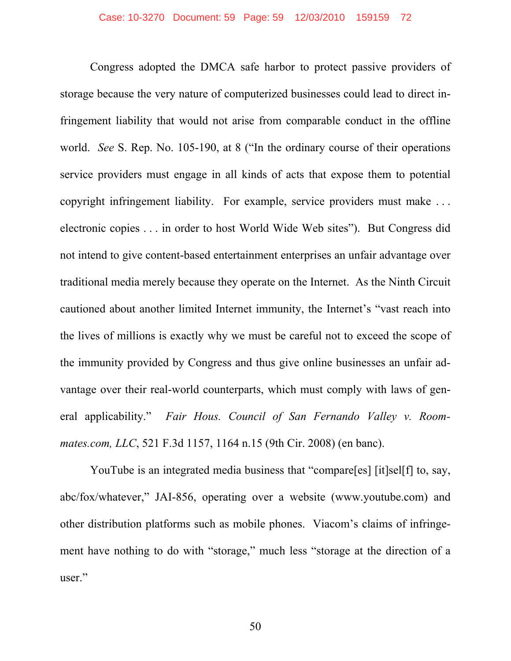Congress adopted the DMCA safe harbor to protect passive providers of storage because the very nature of computerized businesses could lead to direct infringement liability that would not arise from comparable conduct in the offline world. *See* S. Rep. No. 105-190, at 8 ("In the ordinary course of their operations service providers must engage in all kinds of acts that expose them to potential copyright infringement liability. For example, service providers must make . . . electronic copies . . . in order to host World Wide Web sites"). But Congress did not intend to give content-based entertainment enterprises an unfair advantage over traditional media merely because they operate on the Internet. As the Ninth Circuit cautioned about another limited Internet immunity, the Internet's "vast reach into the lives of millions is exactly why we must be careful not to exceed the scope of the immunity provided by Congress and thus give online businesses an unfair advantage over their real-world counterparts, which must comply with laws of general applicability." *Fair Hous. Council of San Fernando Valley v. Roommates.com, LLC*, 521 F.3d 1157, 1164 n.15 (9th Cir. 2008) (en banc).

YouTube is an integrated media business that "compare[es] [it]sel[f] to, say, abc/fox/whatever," JAI-856, operating over a website (www.youtube.com) and other distribution platforms such as mobile phones. Viacom's claims of infringement have nothing to do with "storage," much less "storage at the direction of a user."

50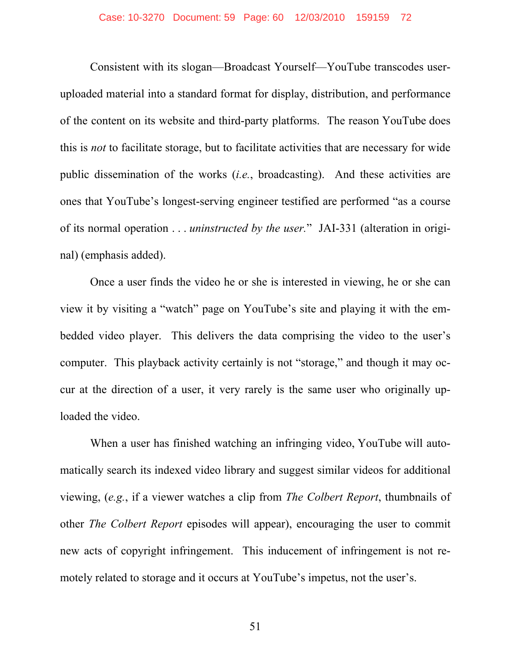Consistent with its slogan—Broadcast Yourself—YouTube transcodes useruploaded material into a standard format for display, distribution, and performance of the content on its website and third-party platforms. The reason YouTube does this is *not* to facilitate storage, but to facilitate activities that are necessary for wide public dissemination of the works (*i.e.*, broadcasting). And these activities are ones that YouTube's longest-serving engineer testified are performed "as a course of its normal operation . . . *uninstructed by the user.*" JAI-331 (alteration in original) (emphasis added).

Once a user finds the video he or she is interested in viewing, he or she can view it by visiting a "watch" page on YouTube's site and playing it with the embedded video player. This delivers the data comprising the video to the user's computer. This playback activity certainly is not "storage," and though it may occur at the direction of a user, it very rarely is the same user who originally uploaded the video.

When a user has finished watching an infringing video, YouTube will automatically search its indexed video library and suggest similar videos for additional viewing, (*e.g.*, if a viewer watches a clip from *The Colbert Report*, thumbnails of other *The Colbert Report* episodes will appear), encouraging the user to commit new acts of copyright infringement. This inducement of infringement is not remotely related to storage and it occurs at YouTube's impetus, not the user's.

51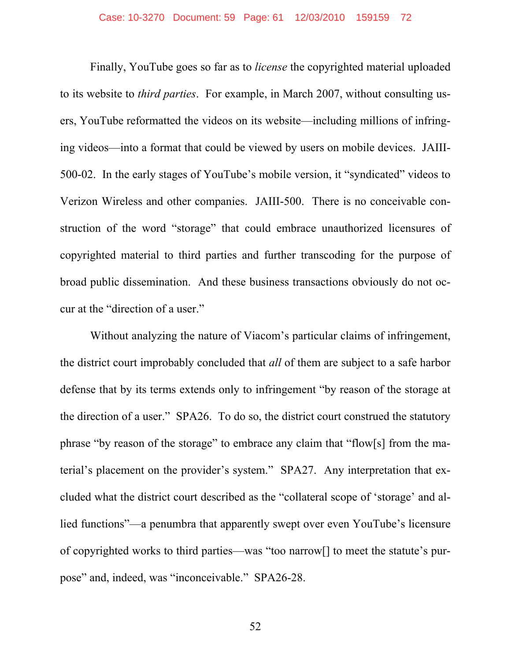Finally, YouTube goes so far as to *license* the copyrighted material uploaded to its website to *third parties*. For example, in March 2007, without consulting users, YouTube reformatted the videos on its website—including millions of infringing videos—into a format that could be viewed by users on mobile devices. JAIII-500-02. In the early stages of YouTube's mobile version, it "syndicated" videos to Verizon Wireless and other companies. JAIII-500. There is no conceivable construction of the word "storage" that could embrace unauthorized licensures of copyrighted material to third parties and further transcoding for the purpose of broad public dissemination. And these business transactions obviously do not occur at the "direction of a user."

Without analyzing the nature of Viacom's particular claims of infringement, the district court improbably concluded that *all* of them are subject to a safe harbor defense that by its terms extends only to infringement "by reason of the storage at the direction of a user." SPA26. To do so, the district court construed the statutory phrase "by reason of the storage" to embrace any claim that "flow[s] from the material's placement on the provider's system." SPA27. Any interpretation that excluded what the district court described as the "collateral scope of 'storage' and allied functions"—a penumbra that apparently swept over even YouTube's licensure of copyrighted works to third parties—was "too narrow[] to meet the statute's purpose" and, indeed, was "inconceivable." SPA26-28.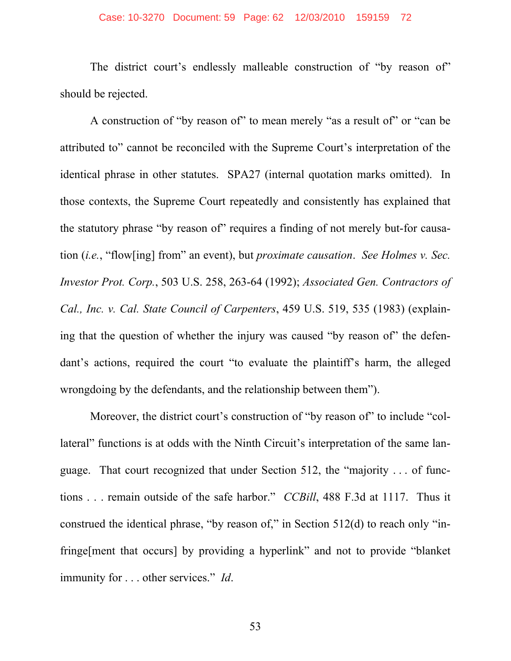## Case: 10-3270 Document: 59 Page: 62 12/03/2010 159159 72

The district court's endlessly malleable construction of "by reason of" should be rejected.

A construction of "by reason of" to mean merely "as a result of" or "can be attributed to" cannot be reconciled with the Supreme Court's interpretation of the identical phrase in other statutes. SPA27 (internal quotation marks omitted). In those contexts, the Supreme Court repeatedly and consistently has explained that the statutory phrase "by reason of" requires a finding of not merely but-for causation (*i.e.*, "flow[ing] from" an event), but *proximate causation*. *See Holmes v. Sec. Investor Prot. Corp.*, 503 U.S. 258, 263-64 (1992); *Associated Gen. Contractors of Cal., Inc. v. Cal. State Council of Carpenters*, 459 U.S. 519, 535 (1983) (explaining that the question of whether the injury was caused "by reason of" the defendant's actions, required the court "to evaluate the plaintiff's harm, the alleged wrongdoing by the defendants, and the relationship between them").

Moreover, the district court's construction of "by reason of" to include "collateral" functions is at odds with the Ninth Circuit's interpretation of the same language. That court recognized that under Section 512, the "majority . . . of functions . . . remain outside of the safe harbor." *CCBill*, 488 F.3d at 1117. Thus it construed the identical phrase, "by reason of," in Section 512(d) to reach only "infringe[ment that occurs] by providing a hyperlink" and not to provide "blanket immunity for . . . other services." *Id*.

53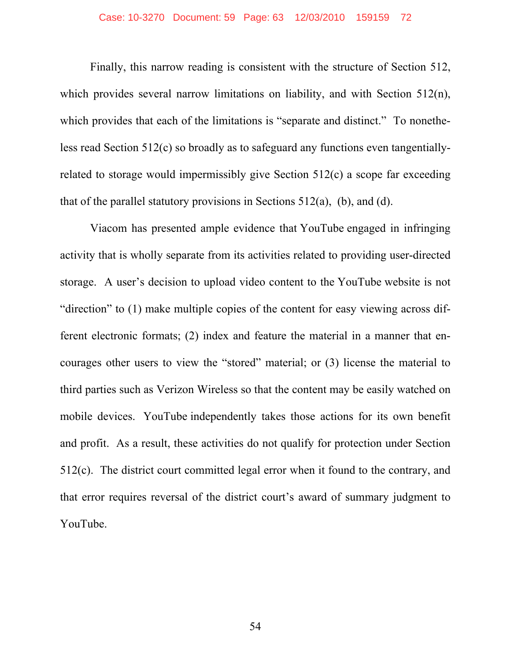## Case: 10-3270 Document: 59 Page: 63 12/03/2010 159159 72

Finally, this narrow reading is consistent with the structure of Section 512, which provides several narrow limitations on liability, and with Section 512(n), which provides that each of the limitations is "separate and distinct." To nonetheless read Section 512(c) so broadly as to safeguard any functions even tangentiallyrelated to storage would impermissibly give Section 512(c) a scope far exceeding that of the parallel statutory provisions in Sections  $512(a)$ , (b), and (d).

Viacom has presented ample evidence that YouTube engaged in infringing activity that is wholly separate from its activities related to providing user-directed storage. A user's decision to upload video content to the YouTube website is not "direction" to (1) make multiple copies of the content for easy viewing across different electronic formats; (2) index and feature the material in a manner that encourages other users to view the "stored" material; or (3) license the material to third parties such as Verizon Wireless so that the content may be easily watched on mobile devices. YouTube independently takes those actions for its own benefit and profit. As a result, these activities do not qualify for protection under Section 512(c). The district court committed legal error when it found to the contrary, and that error requires reversal of the district court's award of summary judgment to YouTube.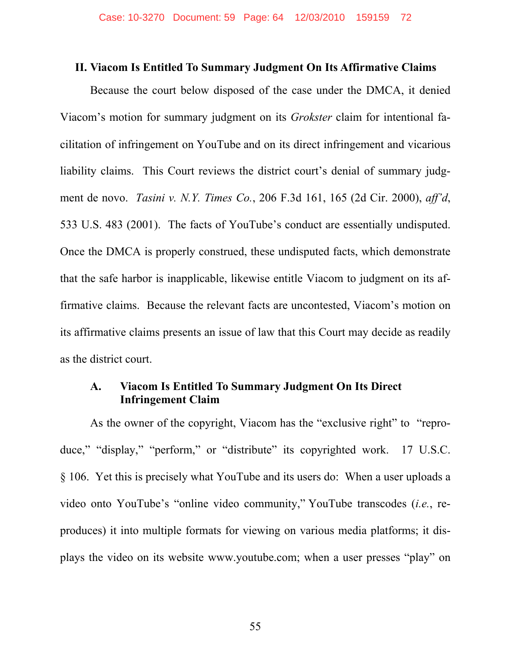### **II. Viacom Is Entitled To Summary Judgment On Its Affirmative Claims**

Because the court below disposed of the case under the DMCA, it denied Viacom's motion for summary judgment on its *Grokster* claim for intentional facilitation of infringement on YouTube and on its direct infringement and vicarious liability claims. This Court reviews the district court's denial of summary judgment de novo. *Tasini v. N.Y. Times Co.*, 206 F.3d 161, 165 (2d Cir. 2000), *aff'd*, 533 U.S. 483 (2001). The facts of YouTube's conduct are essentially undisputed. Once the DMCA is properly construed, these undisputed facts, which demonstrate that the safe harbor is inapplicable, likewise entitle Viacom to judgment on its affirmative claims. Because the relevant facts are uncontested, Viacom's motion on its affirmative claims presents an issue of law that this Court may decide as readily as the district court.

## **A. Viacom Is Entitled To Summary Judgment On Its Direct Infringement Claim**

As the owner of the copyright, Viacom has the "exclusive right" to "reproduce," "display," "perform," or "distribute" its copyrighted work. 17 U.S.C. § 106. Yet this is precisely what YouTube and its users do: When a user uploads a video onto YouTube's "online video community," YouTube transcodes (*i.e.*, reproduces) it into multiple formats for viewing on various media platforms; it displays the video on its website www.youtube.com; when a user presses "play" on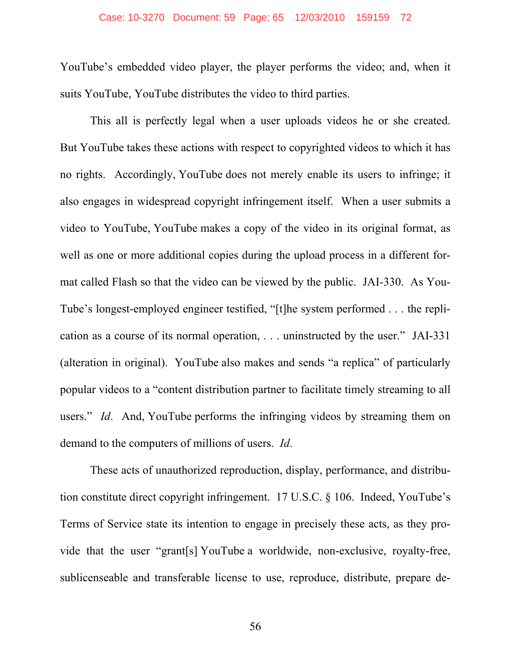#### Case: 10-3270 Document: 59 Page: 65 12/03/2010 159159 72

YouTube's embedded video player, the player performs the video; and, when it suits YouTube, YouTube distributes the video to third parties.

This all is perfectly legal when a user uploads videos he or she created. But YouTube takes these actions with respect to copyrighted videos to which it has no rights. Accordingly, YouTube does not merely enable its users to infringe; it also engages in widespread copyright infringement itself. When a user submits a video to YouTube, YouTube makes a copy of the video in its original format, as well as one or more additional copies during the upload process in a different format called Flash so that the video can be viewed by the public. JAI-330. As You-Tube's longest-employed engineer testified, "[t]he system performed . . . the replication as a course of its normal operation, . . . uninstructed by the user." JAI-331 (alteration in original). YouTube also makes and sends "a replica" of particularly popular videos to a "content distribution partner to facilitate timely streaming to all users." *Id*. And, YouTube performs the infringing videos by streaming them on demand to the computers of millions of users. *Id*.

These acts of unauthorized reproduction, display, performance, and distribution constitute direct copyright infringement. 17 U.S.C. § 106. Indeed, YouTube's Terms of Service state its intention to engage in precisely these acts, as they provide that the user "grant[s] YouTube a worldwide, non-exclusive, royalty-free, sublicenseable and transferable license to use, reproduce, distribute, prepare de-

56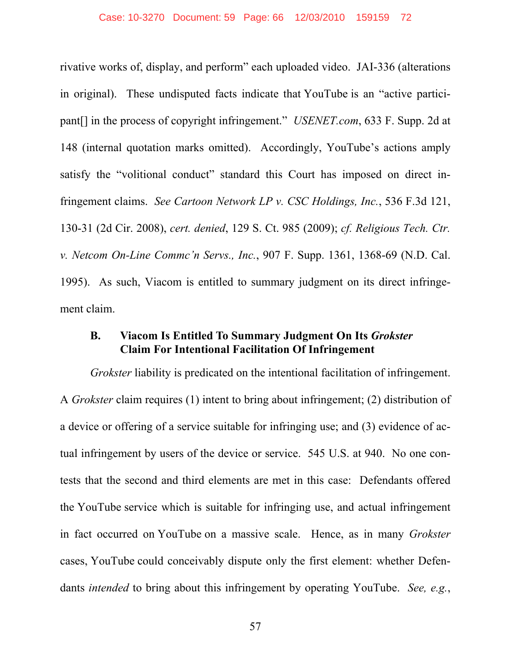rivative works of, display, and perform" each uploaded video. JAI-336 (alterations in original). These undisputed facts indicate that YouTube is an "active participant[] in the process of copyright infringement." *USENET.com*, 633 F. Supp. 2d at 148 (internal quotation marks omitted). Accordingly, YouTube's actions amply satisfy the "volitional conduct" standard this Court has imposed on direct infringement claims. *See Cartoon Network LP v. CSC Holdings, Inc.*, 536 F.3d 121, 130-31 (2d Cir. 2008), *cert. denied*, 129 S. Ct. 985 (2009); *cf. Religious Tech. Ctr. v. Netcom On-Line Commc'n Servs., Inc.*, 907 F. Supp. 1361, 1368-69 (N.D. Cal. 1995). As such, Viacom is entitled to summary judgment on its direct infringement claim.

### **B. Viacom Is Entitled To Summary Judgment On Its** *Grokster*  **Claim For Intentional Facilitation Of Infringement**

*Grokster* liability is predicated on the intentional facilitation of infringement. A *Grokster* claim requires (1) intent to bring about infringement; (2) distribution of a device or offering of a service suitable for infringing use; and (3) evidence of actual infringement by users of the device or service. 545 U.S. at 940. No one contests that the second and third elements are met in this case: Defendants offered the YouTube service which is suitable for infringing use, and actual infringement in fact occurred on YouTube on a massive scale. Hence, as in many *Grokster* cases, YouTube could conceivably dispute only the first element: whether Defendants *intended* to bring about this infringement by operating YouTube. *See, e.g.*,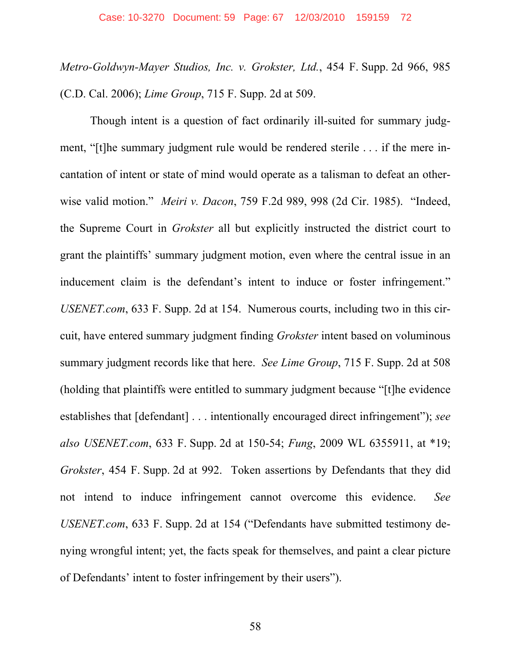*Metro-Goldwyn-Mayer Studios, Inc. v. Grokster, Ltd.*, 454 F. Supp. 2d 966, 985 (C.D. Cal. 2006); *Lime Group*, 715 F. Supp. 2d at 509.

Though intent is a question of fact ordinarily ill-suited for summary judgment, "[t]he summary judgment rule would be rendered sterile . . . if the mere incantation of intent or state of mind would operate as a talisman to defeat an otherwise valid motion." *Meiri v. Dacon*, 759 F.2d 989, 998 (2d Cir. 1985). "Indeed, the Supreme Court in *Grokster* all but explicitly instructed the district court to grant the plaintiffs' summary judgment motion, even where the central issue in an inducement claim is the defendant's intent to induce or foster infringement." *USENET.com*, 633 F. Supp. 2d at 154. Numerous courts, including two in this circuit, have entered summary judgment finding *Grokster* intent based on voluminous summary judgment records like that here. *See Lime Group*, 715 F. Supp. 2d at 508 (holding that plaintiffs were entitled to summary judgment because "[t]he evidence establishes that [defendant] . . . intentionally encouraged direct infringement"); *see also USENET.com*, 633 F. Supp. 2d at 150-54; *Fung*, 2009 WL 6355911, at \*19; *Grokster*, 454 F. Supp. 2d at 992. Token assertions by Defendants that they did not intend to induce infringement cannot overcome this evidence. *See USENET.com*, 633 F. Supp. 2d at 154 ("Defendants have submitted testimony denying wrongful intent; yet, the facts speak for themselves, and paint a clear picture of Defendants' intent to foster infringement by their users").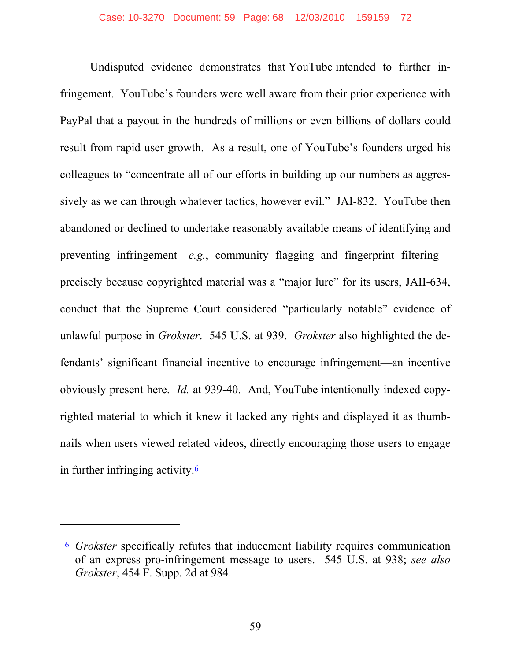Undisputed evidence demonstrates that YouTube intended to further infringement. YouTube's founders were well aware from their prior experience with PayPal that a payout in the hundreds of millions or even billions of dollars could result from rapid user growth. As a result, one of YouTube's founders urged his colleagues to "concentrate all of our efforts in building up our numbers as aggressively as we can through whatever tactics, however evil." JAI-832. YouTube then abandoned or declined to undertake reasonably available means of identifying and preventing infringement—*e.g.*, community flagging and fingerprint filtering precisely because copyrighted material was a "major lure" for its users, JAII-634, conduct that the Supreme Court considered "particularly notable" evidence of unlawful purpose in *Grokster*. 545 U.S. at 939. *Grokster* also highlighted the defendants' significant financial incentive to encourage infringement—an incentive obviously present here. *Id.* at 939-40. And, YouTube intentionally indexed copyrighted material to which it knew it lacked any rights and displayed it as thumbnails when users viewed related videos, directly encouraging those users to engage in further infringing activity.6

 $\overline{a}$ 

<sup>6</sup> *Grokster* specifically refutes that inducement liability requires communication of an express pro-infringement message to users. 545 U.S. at 938; *see also Grokster*, 454 F. Supp. 2d at 984.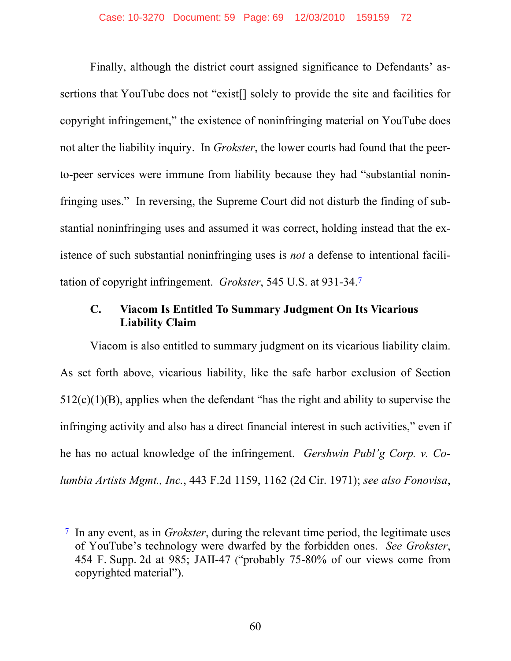Finally, although the district court assigned significance to Defendants' assertions that YouTube does not "exist[] solely to provide the site and facilities for copyright infringement," the existence of noninfringing material on YouTube does not alter the liability inquiry. In *Grokster*, the lower courts had found that the peerto-peer services were immune from liability because they had "substantial noninfringing uses." In reversing, the Supreme Court did not disturb the finding of substantial noninfringing uses and assumed it was correct, holding instead that the existence of such substantial noninfringing uses is *not* a defense to intentional facilitation of copyright infringement. *Grokster*, 545 U.S. at 931-34.7

# **C. Viacom Is Entitled To Summary Judgment On Its Vicarious Liability Claim**

Viacom is also entitled to summary judgment on its vicarious liability claim. As set forth above, vicarious liability, like the safe harbor exclusion of Section 512(c)(1)(B), applies when the defendant "has the right and ability to supervise the infringing activity and also has a direct financial interest in such activities," even if he has no actual knowledge of the infringement. *Gershwin Publ'g Corp. v. Columbia Artists Mgmt., Inc.*, 443 F.2d 1159, 1162 (2d Cir. 1971); *see also Fonovisa*,

 $\overline{a}$ 

<sup>7</sup> In any event, as in *Grokster*, during the relevant time period, the legitimate uses of YouTube's technology were dwarfed by the forbidden ones. *See Grokster*, 454 F. Supp. 2d at 985; JAII-47 ("probably 75-80% of our views come from copyrighted material").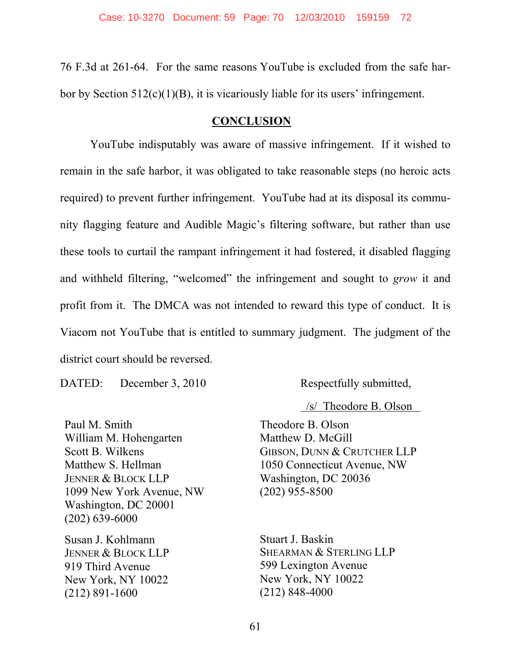76 F.3d at 261-64. For the same reasons YouTube is excluded from the safe harbor by Section 512(c)(1)(B), it is vicariously liable for its users' infringement.

### **CONCLUSION**

YouTube indisputably was aware of massive infringement. If it wished to remain in the safe harbor, it was obligated to take reasonable steps (no heroic acts required) to prevent further infringement. YouTube had at its disposal its community flagging feature and Audible Magic's filtering software, but rather than use these tools to curtail the rampant infringement it had fostered, it disabled flagging and withheld filtering, "welcomed" the infringement and sought to *grow* it and profit from it. The DMCA was not intended to reward this type of conduct. It is Viacom not YouTube that is entitled to summary judgment. The judgment of the district court should be reversed.

DATED: December 3, 2010 Respectfully submitted,

Paul M. Smith William M. Hohengarten Scott B. Wilkens Matthew S. Hellman JENNER & BLOCK LLP 1099 New York Avenue, NW Washington, DC 20001 (202) 639-6000

Susan J. Kohlmann JENNER & BLOCK LLP 919 Third Avenue New York, NY 10022 (212) 891-1600

/s/ Theodore B. Olson

Theodore B. Olson Matthew D. McGill GIBSON, DUNN & CRUTCHER LLP 1050 Connecticut Avenue, NW Washington, DC 20036 (202) 955-8500

Stuart J. Baskin SHEARMAN & STERLING LLP 599 Lexington Avenue New York, NY 10022 (212) 848-4000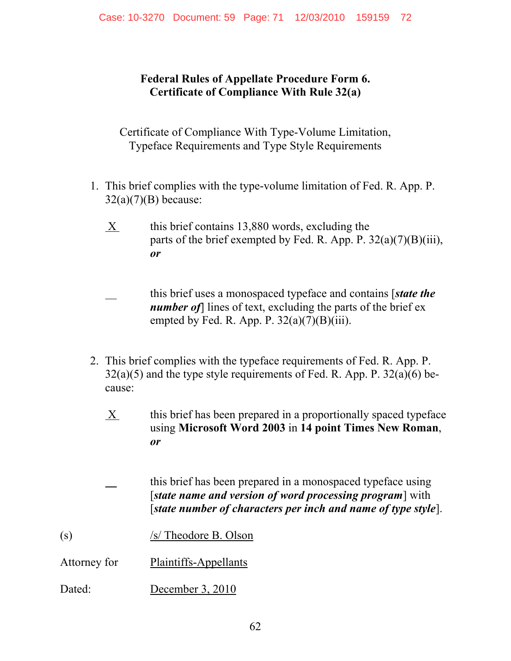**Federal Rules of Appellate Procedure Form 6. Certificate of Compliance With Rule 32(a)** 

Certificate of Compliance With Type-Volume Limitation, Typeface Requirements and Type Style Requirements

- 1. This brief complies with the type-volume limitation of Fed. R. App. P.  $32(a)(7)(B)$  because:
	- $X$  this brief contains 13,880 words, excluding the parts of the brief exempted by Fed. R. App. P.  $32(a)(7)(B)(iii)$ , *or*

 this brief uses a monospaced typeface and contains [*state the number of*] lines of text, excluding the parts of the brief ex empted by Fed. R. App. P.  $32(a)(7)(B)(iii)$ .

- 2. This brief complies with the typeface requirements of Fed. R. App. P.  $32(a)(5)$  and the type style requirements of Fed. R. App. P.  $32(a)(6)$  because:
	- X this brief has been prepared in a proportionally spaced typeface using **Microsoft Word 2003** in **14 point Times New Roman**, *or*

 this brief has been prepared in a monospaced typeface using [*state name and version of word processing program*] with [*state number of characters per inch and name of type style*].

- (s) /s/ Theodore B. Olson
- Attorney for Plaintiffs-Appellants
- Dated: December 3, 2010